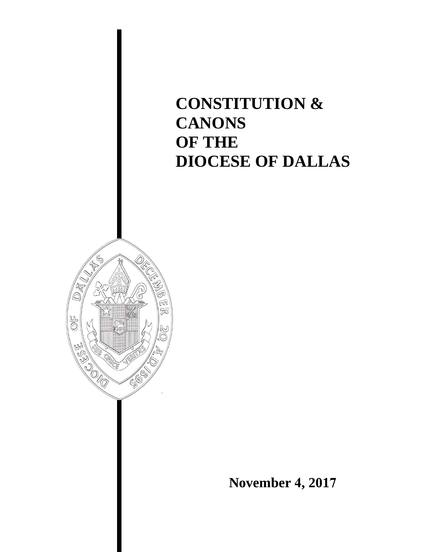

 $\bigcirc$ 

 $\frac{D}{D}$ 

**PED** 

**RANDAR** 

W

EP

**November 4, 2017**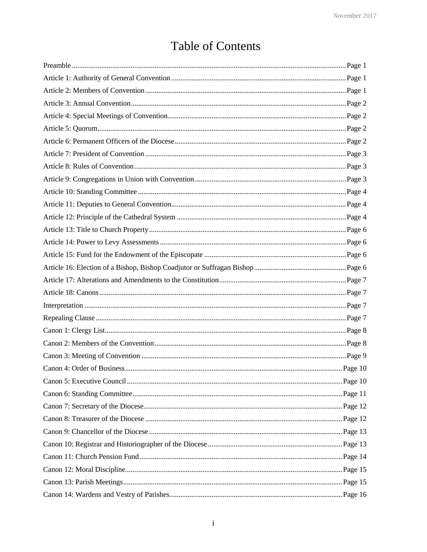# **Table of Contents**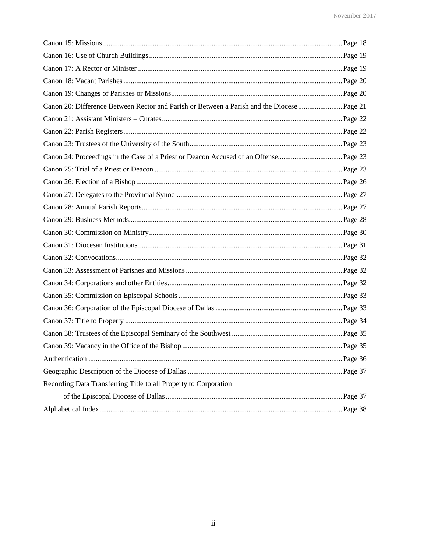| Recording Data Transferring Title to all Property to Corporation |  |
|------------------------------------------------------------------|--|
|                                                                  |  |
|                                                                  |  |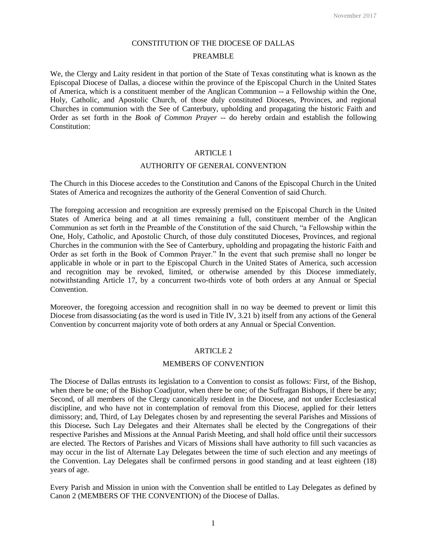#### CONSTITUTION OF THE DIOCESE OF DALLAS

#### PREAMBLE

We, the Clergy and Laity resident in that portion of the State of Texas constituting what is known as the Episcopal Diocese of Dallas, a diocese within the province of the Episcopal Church in the United States of America, which is a constituent member of the Anglican Communion -- a Fellowship within the One, Holy, Catholic, and Apostolic Church, of those duly constituted Dioceses, Provinces, and regional Churches in communion with the See of Canterbury, upholding and propagating the historic Faith and Order as set forth in the *Book of Common Prayer* -- do hereby ordain and establish the following Constitution:

# ARTICLE 1

#### AUTHORITY OF GENERAL CONVENTION

The Church in this Diocese accedes to the Constitution and Canons of the Episcopal Church in the United States of America and recognizes the authority of the General Convention of said Church.

The foregoing accession and recognition are expressly premised on the Episcopal Church in the United States of America being and at all times remaining a full, constituent member of the Anglican Communion as set forth in the Preamble of the Constitution of the said Church, "a Fellowship within the One, Holy, Catholic, and Apostolic Church, of those duly constituted Dioceses, Provinces, and regional Churches in the communion with the See of Canterbury, upholding and propagating the historic Faith and Order as set forth in the Book of Common Prayer." In the event that such premise shall no longer be applicable in whole or in part to the Episcopal Church in the United States of America, such accession and recognition may be revoked, limited, or otherwise amended by this Diocese immediately, notwithstanding Article 17, by a concurrent two-thirds vote of both orders at any Annual or Special **Convention** 

Moreover, the foregoing accession and recognition shall in no way be deemed to prevent or limit this Diocese from disassociating (as the word is used in Title IV, 3.21 b) itself from any actions of the General Convention by concurrent majority vote of both orders at any Annual or Special Convention.

#### ARTICLE 2

## MEMBERS OF CONVENTION

The Diocese of Dallas entrusts its legislation to a Convention to consist as follows: First, of the Bishop, when there be one; of the Bishop Coadjutor, when there be one; of the Suffragan Bishops, if there be any; Second, of all members of the Clergy canonically resident in the Diocese, and not under Ecclesiastical discipline, and who have not in contemplation of removal from this Diocese, applied for their letters dimissory; and, Third, of Lay Delegates chosen by and representing the several Parishes and Missions of this Diocese*.* Such Lay Delegates and their Alternates shall be elected by the Congregations of their respective Parishes and Missions at the Annual Parish Meeting, and shall hold office until their successors are elected. The Rectors of Parishes and Vicars of Missions shall have authority to fill such vacancies as may occur in the list of Alternate Lay Delegates between the time of such election and any meetings of the Convention. Lay Delegates shall be confirmed persons in good standing and at least eighteen (18) years of age.

Every Parish and Mission in union with the Convention shall be entitled to Lay Delegates as defined by Canon 2 (MEMBERS OF THE CONVENTION) of the Diocese of Dallas.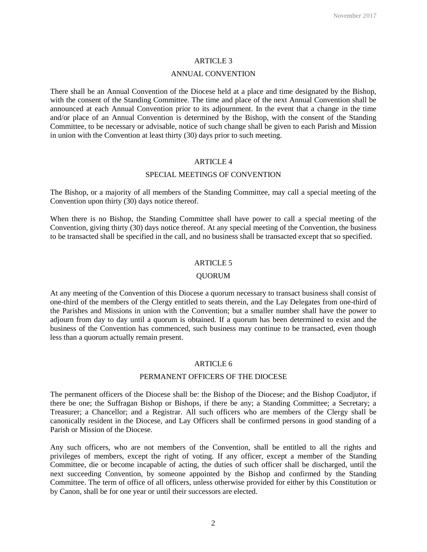#### ANNUAL CONVENTION

There shall be an Annual Convention of the Diocese held at a place and time designated by the Bishop, with the consent of the Standing Committee. The time and place of the next Annual Convention shall be announced at each Annual Convention prior to its adjournment. In the event that a change in the time and/or place of an Annual Convention is determined by the Bishop, with the consent of the Standing Committee, to be necessary or advisable, notice of such change shall be given to each Parish and Mission in union with the Convention at least thirty (30) days prior to such meeting.

## ARTICLE 4

#### SPECIAL MEETINGS OF CONVENTION

The Bishop, or a majority of all members of the Standing Committee, may call a special meeting of the Convention upon thirty (30) days notice thereof.

When there is no Bishop, the Standing Committee shall have power to call a special meeting of the Convention, giving thirty (30) days notice thereof. At any special meeting of the Convention, the business to be transacted shall be specified in the call, and no business shall be transacted except that so specified.

# ARTICLE 5

#### QUORUM

At any meeting of the Convention of this Diocese a quorum necessary to transact business shall consist of one-third of the members of the Clergy entitled to seats therein, and the Lay Delegates from one-third of the Parishes and Missions in union with the Convention; but a smaller number shall have the power to adjourn from day to day until a quorum is obtained. If a quorum has been determined to exist and the business of the Convention has commenced, such business may continue to be transacted, even though less than a quorum actually remain present.

#### ARTICLE 6

#### PERMANENT OFFICERS OF THE DIOCESE

The permanent officers of the Diocese shall be: the Bishop of the Diocese; and the Bishop Coadjutor, if there be one; the Suffragan Bishop or Bishops, if there be any; a Standing Committee; a Secretary; a Treasurer; a Chancellor; and a Registrar. All such officers who are members of the Clergy shall be canonically resident in the Diocese, and Lay Officers shall be confirmed persons in good standing of a Parish or Mission of the Diocese.

Any such officers, who are not members of the Convention, shall be entitled to all the rights and privileges of members, except the right of voting. If any officer, except a member of the Standing Committee, die or become incapable of acting, the duties of such officer shall be discharged, until the next succeeding Convention, by someone appointed by the Bishop and confirmed by the Standing Committee. The term of office of all officers, unless otherwise provided for either by this Constitution or by Canon, shall be for one year or until their successors are elected.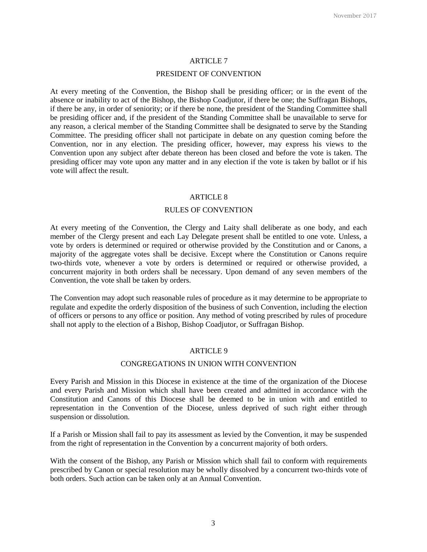#### PRESIDENT OF CONVENTION

At every meeting of the Convention, the Bishop shall be presiding officer; or in the event of the absence or inability to act of the Bishop, the Bishop Coadjutor, if there be one; the Suffragan Bishops, if there be any, in order of seniority; or if there be none, the president of the Standing Committee shall be presiding officer and, if the president of the Standing Committee shall be unavailable to serve for any reason, a clerical member of the Standing Committee shall be designated to serve by the Standing Committee. The presiding officer shall not participate in debate on any question coming before the Convention, nor in any election. The presiding officer, however, may express his views to the Convention upon any subject after debate thereon has been closed and before the vote is taken. The presiding officer may vote upon any matter and in any election if the vote is taken by ballot or if his vote will affect the result.

#### ARTICLE 8

#### RULES OF CONVENTION

At every meeting of the Convention, the Clergy and Laity shall deliberate as one body, and each member of the Clergy present and each Lay Delegate present shall be entitled to one vote. Unless, a vote by orders is determined or required or otherwise provided by the Constitution and or Canons, a majority of the aggregate votes shall be decisive. Except where the Constitution or Canons require two-thirds vote, whenever a vote by orders is determined or required or otherwise provided, a concurrent majority in both orders shall be necessary. Upon demand of any seven members of the Convention, the vote shall be taken by orders.

The Convention may adopt such reasonable rules of procedure as it may determine to be appropriate to regulate and expedite the orderly disposition of the business of such Convention, including the election of officers or persons to any office or position. Any method of voting prescribed by rules of procedure shall not apply to the election of a Bishop, Bishop Coadjutor, or Suffragan Bishop.

#### ARTICLE 9

## CONGREGATIONS IN UNION WITH CONVENTION

Every Parish and Mission in this Diocese in existence at the time of the organization of the Diocese and every Parish and Mission which shall have been created and admitted in accordance with the Constitution and Canons of this Diocese shall be deemed to be in union with and entitled to representation in the Convention of the Diocese, unless deprived of such right either through suspension or dissolution.

If a Parish or Mission shall fail to pay its assessment as levied by the Convention, it may be suspended from the right of representation in the Convention by a concurrent majority of both orders.

With the consent of the Bishop, any Parish or Mission which shall fail to conform with requirements prescribed by Canon or special resolution may be wholly dissolved by a concurrent two-thirds vote of both orders. Such action can be taken only at an Annual Convention.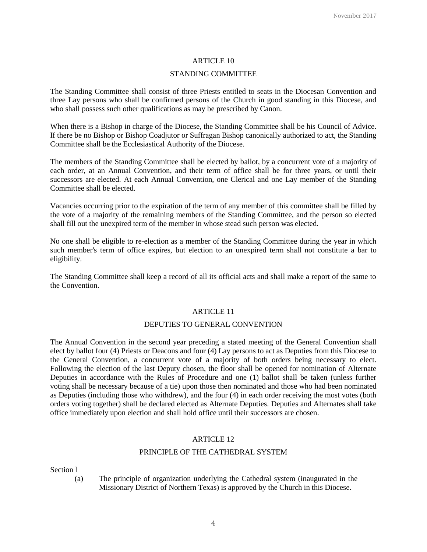## STANDING COMMITTEE

The Standing Committee shall consist of three Priests entitled to seats in the Diocesan Convention and three Lay persons who shall be confirmed persons of the Church in good standing in this Diocese, and who shall possess such other qualifications as may be prescribed by Canon.

When there is a Bishop in charge of the Diocese, the Standing Committee shall be his Council of Advice. If there be no Bishop or Bishop Coadjutor or Suffragan Bishop canonically authorized to act, the Standing Committee shall be the Ecclesiastical Authority of the Diocese.

The members of the Standing Committee shall be elected by ballot, by a concurrent vote of a majority of each order, at an Annual Convention, and their term of office shall be for three years, or until their successors are elected. At each Annual Convention, one Clerical and one Lay member of the Standing Committee shall be elected.

Vacancies occurring prior to the expiration of the term of any member of this committee shall be filled by the vote of a majority of the remaining members of the Standing Committee, and the person so elected shall fill out the unexpired term of the member in whose stead such person was elected.

No one shall be eligible to re-election as a member of the Standing Committee during the year in which such member's term of office expires, but election to an unexpired term shall not constitute a bar to eligibility.

The Standing Committee shall keep a record of all its official acts and shall make a report of the same to the Convention.

## ARTICLE 11

## DEPUTIES TO GENERAL CONVENTION

The Annual Convention in the second year preceding a stated meeting of the General Convention shall elect by ballot four (4) Priests or Deacons and four (4) Lay persons to act as Deputies from this Diocese to the General Convention, a concurrent vote of a majority of both orders being necessary to elect. Following the election of the last Deputy chosen, the floor shall be opened for nomination of Alternate Deputies in accordance with the Rules of Procedure and one (1) ballot shall be taken (unless further voting shall be necessary because of a tie) upon those then nominated and those who had been nominated as Deputies (including those who withdrew), and the four (4) in each order receiving the most votes (both orders voting together) shall be declared elected as Alternate Deputies. Deputies and Alternates shall take office immediately upon election and shall hold office until their successors are chosen.

#### ARTICLE 12

# PRINCIPLE OF THE CATHEDRAL SYSTEM

Section l

(a) The principle of organization underlying the Cathedral system (inaugurated in the Missionary District of Northern Texas) is approved by the Church in this Diocese.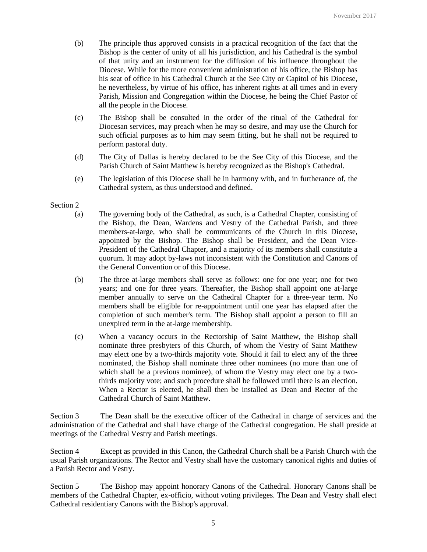- (b) The principle thus approved consists in a practical recognition of the fact that the Bishop is the center of unity of all his jurisdiction, and his Cathedral is the symbol of that unity and an instrument for the diffusion of his influence throughout the Diocese. While for the more convenient administration of his office, the Bishop has his seat of office in his Cathedral Church at the See City or Capitol of his Diocese, he nevertheless, by virtue of his office, has inherent rights at all times and in every Parish, Mission and Congregation within the Diocese, he being the Chief Pastor of all the people in the Diocese.
- (c) The Bishop shall be consulted in the order of the ritual of the Cathedral for Diocesan services, may preach when he may so desire, and may use the Church for such official purposes as to him may seem fitting, but he shall not be required to perform pastoral duty.
- (d) The City of Dallas is hereby declared to be the See City of this Diocese, and the Parish Church of Saint Matthew is hereby recognized as the Bishop's Cathedral.
- (e) The legislation of this Diocese shall be in harmony with, and in furtherance of, the Cathedral system, as thus understood and defined.

#### Section 2

- (a) The governing body of the Cathedral, as such, is a Cathedral Chapter, consisting of the Bishop, the Dean, Wardens and Vestry of the Cathedral Parish, and three members-at-large, who shall be communicants of the Church in this Diocese, appointed by the Bishop. The Bishop shall be President, and the Dean Vice-President of the Cathedral Chapter, and a majority of its members shall constitute a quorum. It may adopt by-laws not inconsistent with the Constitution and Canons of the General Convention or of this Diocese.
- (b) The three at-large members shall serve as follows: one for one year; one for two years; and one for three years. Thereafter, the Bishop shall appoint one at-large member annually to serve on the Cathedral Chapter for a three-year term. No members shall be eligible for re-appointment until one year has elapsed after the completion of such member's term. The Bishop shall appoint a person to fill an unexpired term in the at-large membership.
- (c) When a vacancy occurs in the Rectorship of Saint Matthew, the Bishop shall nominate three presbyters of this Church, of whom the Vestry of Saint Matthew may elect one by a two-thirds majority vote. Should it fail to elect any of the three nominated, the Bishop shall nominate three other nominees (no more than one of which shall be a previous nominee), of whom the Vestry may elect one by a twothirds majority vote; and such procedure shall be followed until there is an election. When a Rector is elected, he shall then be installed as Dean and Rector of the Cathedral Church of Saint Matthew.

Section 3 The Dean shall be the executive officer of the Cathedral in charge of services and the administration of the Cathedral and shall have charge of the Cathedral congregation. He shall preside at meetings of the Cathedral Vestry and Parish meetings.

Section 4 Except as provided in this Canon, the Cathedral Church shall be a Parish Church with the usual Parish organizations. The Rector and Vestry shall have the customary canonical rights and duties of a Parish Rector and Vestry.

Section 5 The Bishop may appoint honorary Canons of the Cathedral. Honorary Canons shall be members of the Cathedral Chapter, ex-officio, without voting privileges. The Dean and Vestry shall elect Cathedral residentiary Canons with the Bishop's approval.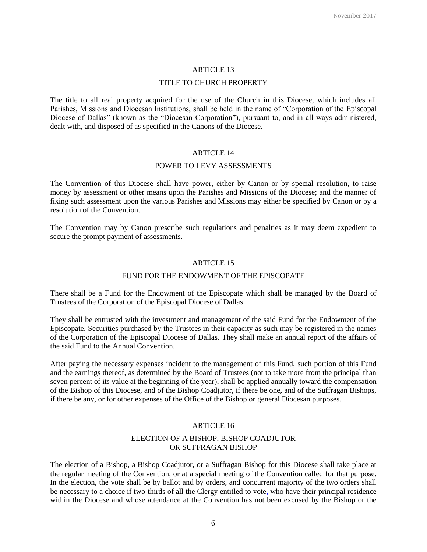#### TITLE TO CHURCH PROPERTY

The title to all real property acquired for the use of the Church in this Diocese, which includes all Parishes, Missions and Diocesan Institutions, shall be held in the name of "Corporation of the Episcopal Diocese of Dallas" (known as the "Diocesan Corporation"), pursuant to, and in all ways administered, dealt with, and disposed of as specified in the Canons of the Diocese.

# ARTICLE 14

## POWER TO LEVY ASSESSMENTS

The Convention of this Diocese shall have power, either by Canon or by special resolution, to raise money by assessment or other means upon the Parishes and Missions of the Diocese; and the manner of fixing such assessment upon the various Parishes and Missions may either be specified by Canon or by a resolution of the Convention.

The Convention may by Canon prescribe such regulations and penalties as it may deem expedient to secure the prompt payment of assessments.

## ARTICLE 15

#### FUND FOR THE ENDOWMENT OF THE EPISCOPATE

There shall be a Fund for the Endowment of the Episcopate which shall be managed by the Board of Trustees of the Corporation of the Episcopal Diocese of Dallas.

They shall be entrusted with the investment and management of the said Fund for the Endowment of the Episcopate. Securities purchased by the Trustees in their capacity as such may be registered in the names of the Corporation of the Episcopal Diocese of Dallas. They shall make an annual report of the affairs of the said Fund to the Annual Convention.

After paying the necessary expenses incident to the management of this Fund, such portion of this Fund and the earnings thereof, as determined by the Board of Trustees (not to take more from the principal than seven percent of its value at the beginning of the year), shall be applied annually toward the compensation of the Bishop of this Diocese, and of the Bishop Coadjutor, if there be one, and of the Suffragan Bishops, if there be any, or for other expenses of the Office of the Bishop or general Diocesan purposes.

# ARTICLE 16

# ELECTION OF A BISHOP, BISHOP COADJUTOR OR SUFFRAGAN BISHOP

The election of a Bishop, a Bishop Coadjutor, or a Suffragan Bishop for this Diocese shall take place at the regular meeting of the Convention, or at a special meeting of the Convention called for that purpose. In the election, the vote shall be by ballot and by orders, and concurrent majority of the two orders shall be necessary to a choice if two-thirds of all the Clergy entitled to vote, who have their principal residence within the Diocese and whose attendance at the Convention has not been excused by the Bishop or the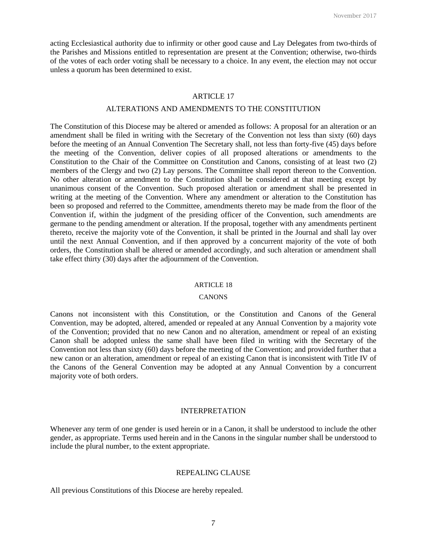acting Ecclesiastical authority due to infirmity or other good cause and Lay Delegates from two-thirds of the Parishes and Missions entitled to representation are present at the Convention; otherwise, two-thirds of the votes of each order voting shall be necessary to a choice. In any event, the election may not occur unless a quorum has been determined to exist.

# ARTICLE 17

#### ALTERATIONS AND AMENDMENTS TO THE CONSTITUTION

The Constitution of this Diocese may be altered or amended as follows: A proposal for an alteration or an amendment shall be filed in writing with the Secretary of the Convention not less than sixty (60) days before the meeting of an Annual Convention The Secretary shall, not less than forty-five (45) days before the meeting of the Convention, deliver copies of all proposed alterations or amendments to the Constitution to the Chair of the Committee on Constitution and Canons, consisting of at least two (2) members of the Clergy and two (2) Lay persons. The Committee shall report thereon to the Convention. No other alteration or amendment to the Constitution shall be considered at that meeting except by unanimous consent of the Convention. Such proposed alteration or amendment shall be presented in writing at the meeting of the Convention. Where any amendment or alteration to the Constitution has been so proposed and referred to the Committee, amendments thereto may be made from the floor of the Convention if, within the judgment of the presiding officer of the Convention, such amendments are germane to the pending amendment or alteration. If the proposal, together with any amendments pertinent thereto, receive the majority vote of the Convention, it shall be printed in the Journal and shall lay over until the next Annual Convention, and if then approved by a concurrent majority of the vote of both orders, the Constitution shall be altered or amended accordingly, and such alteration or amendment shall take effect thirty (30) days after the adjournment of the Convention.

#### ARTICLE 18

#### **CANONS**

Canons not inconsistent with this Constitution, or the Constitution and Canons of the General Convention, may be adopted, altered, amended or repealed at any Annual Convention by a majority vote of the Convention; provided that no new Canon and no alteration, amendment or repeal of an existing Canon shall be adopted unless the same shall have been filed in writing with the Secretary of the Convention not less than sixty (60) days before the meeting of the Convention; and provided further that a new canon or an alteration, amendment or repeal of an existing Canon that is inconsistent with Title IV of the Canons of the General Convention may be adopted at any Annual Convention by a concurrent majority vote of both orders.

## INTERPRETATION

Whenever any term of one gender is used herein or in a Canon, it shall be understood to include the other gender, as appropriate. Terms used herein and in the Canons in the singular number shall be understood to include the plural number, to the extent appropriate.

#### REPEALING CLAUSE

All previous Constitutions of this Diocese are hereby repealed.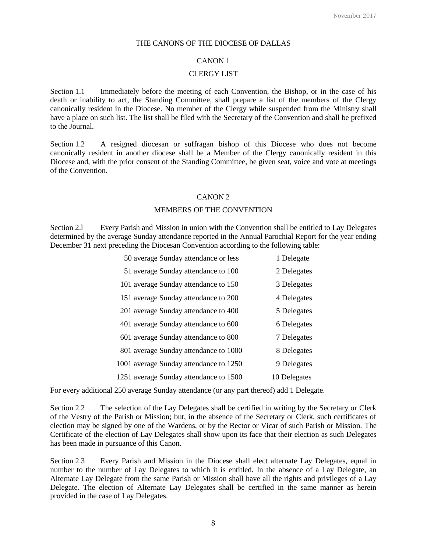## THE CANONS OF THE DIOCESE OF DALLAS

#### CANON 1

### CLERGY LIST

Section 1.1 Immediately before the meeting of each Convention, the Bishop, or in the case of his death or inability to act, the Standing Committee, shall prepare a list of the members of the Clergy canonically resident in the Diocese. No member of the Clergy while suspended from the Ministry shall have a place on such list. The list shall be filed with the Secretary of the Convention and shall be prefixed to the Journal.

Section 1.2 A resigned diocesan or suffragan bishop of this Diocese who does not become canonically resident in another diocese shall be a Member of the Clergy canonically resident in this Diocese and, with the prior consent of the Standing Committee, be given seat, voice and vote at meetings of the Convention.

#### CANON 2

#### MEMBERS OF THE CONVENTION

Section 2.l Every Parish and Mission in union with the Convention shall be entitled to Lay Delegates determined by the average Sunday attendance reported in the Annual Parochial Report for the year ending December 31 next preceding the Diocesan Convention according to the following table:

| 50 average Sunday attendance or less   | 1 Delegate   |
|----------------------------------------|--------------|
| 51 average Sunday attendance to 100    | 2 Delegates  |
| 101 average Sunday attendance to 150   | 3 Delegates  |
| 151 average Sunday attendance to 200   | 4 Delegates  |
| 201 average Sunday attendance to 400   | 5 Delegates  |
| 401 average Sunday attendance to 600   | 6 Delegates  |
| 601 average Sunday attendance to 800   | 7 Delegates  |
| 801 average Sunday attendance to 1000  | 8 Delegates  |
| 1001 average Sunday attendance to 1250 | 9 Delegates  |
| 1251 average Sunday attendance to 1500 | 10 Delegates |

For every additional 250 average Sunday attendance (or any part thereof) add 1 Delegate.

Section 2.2 The selection of the Lay Delegates shall be certified in writing by the Secretary or Clerk of the Vestry of the Parish or Mission; but, in the absence of the Secretary or Clerk, such certificates of election may be signed by one of the Wardens, or by the Rector or Vicar of such Parish or Mission. The Certificate of the election of Lay Delegates shall show upon its face that their election as such Delegates has been made in pursuance of this Canon.

Section 2.3 Every Parish and Mission in the Diocese shall elect alternate Lay Delegates, equal in number to the number of Lay Delegates to which it is entitled. In the absence of a Lay Delegate, an Alternate Lay Delegate from the same Parish or Mission shall have all the rights and privileges of a Lay Delegate. The election of Alternate Lay Delegates shall be certified in the same manner as herein provided in the case of Lay Delegates.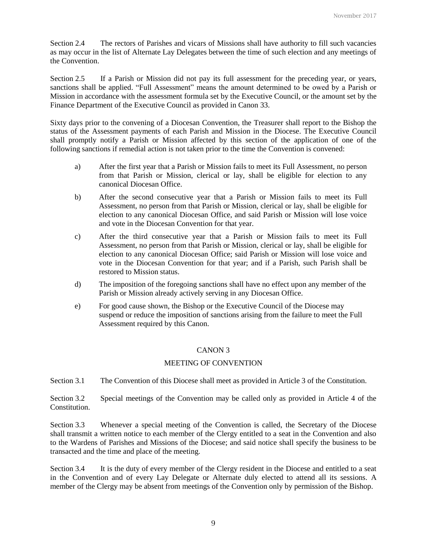Section 2.4 The rectors of Parishes and vicars of Missions shall have authority to fill such vacancies as may occur in the list of Alternate Lay Delegates between the time of such election and any meetings of the Convention.

Section 2.5 If a Parish or Mission did not pay its full assessment for the preceding year, or years, sanctions shall be applied. "Full Assessment" means the amount determined to be owed by a Parish or Mission in accordance with the assessment formula set by the Executive Council, or the amount set by the Finance Department of the Executive Council as provided in Canon 33.

Sixty days prior to the convening of a Diocesan Convention, the Treasurer shall report to the Bishop the status of the Assessment payments of each Parish and Mission in the Diocese. The Executive Council shall promptly notify a Parish or Mission affected by this section of the application of one of the following sanctions if remedial action is not taken prior to the time the Convention is convened:

- a) After the first year that a Parish or Mission fails to meet its Full Assessment, no person from that Parish or Mission, clerical or lay, shall be eligible for election to any canonical Diocesan Office.
- b) After the second consecutive year that a Parish or Mission fails to meet its Full Assessment, no person from that Parish or Mission, clerical or lay, shall be eligible for election to any canonical Diocesan Office, and said Parish or Mission will lose voice and vote in the Diocesan Convention for that year.
- c) After the third consecutive year that a Parish or Mission fails to meet its Full Assessment, no person from that Parish or Mission, clerical or lay, shall be eligible for election to any canonical Diocesan Office; said Parish or Mission will lose voice and vote in the Diocesan Convention for that year; and if a Parish, such Parish shall be restored to Mission status.
- d) The imposition of the foregoing sanctions shall have no effect upon any member of the Parish or Mission already actively serving in any Diocesan Office.
- e) For good cause shown, the Bishop or the Executive Council of the Diocese may suspend or reduce the imposition of sanctions arising from the failure to meet the Full Assessment required by this Canon.

# CANON 3

# MEETING OF CONVENTION

Section 3.1 The Convention of this Diocese shall meet as provided in Article 3 of the Constitution.

Section 3.2 Special meetings of the Convention may be called only as provided in Article 4 of the Constitution.

Section 3.3 Whenever a special meeting of the Convention is called, the Secretary of the Diocese shall transmit a written notice to each member of the Clergy entitled to a seat in the Convention and also to the Wardens of Parishes and Missions of the Diocese; and said notice shall specify the business to be transacted and the time and place of the meeting.

Section 3.4 It is the duty of every member of the Clergy resident in the Diocese and entitled to a seat in the Convention and of every Lay Delegate or Alternate duly elected to attend all its sessions. A member of the Clergy may be absent from meetings of the Convention only by permission of the Bishop.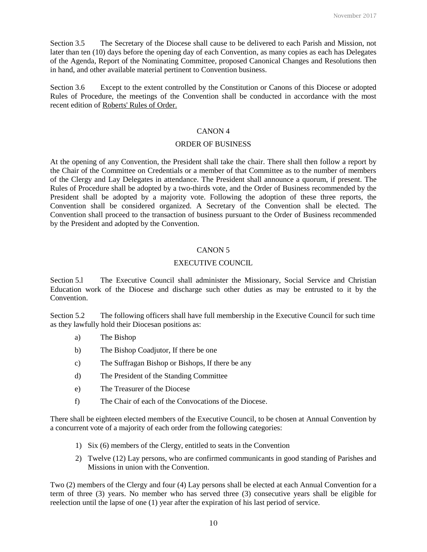Section 3.5 The Secretary of the Diocese shall cause to be delivered to each Parish and Mission, not later than ten (10) days before the opening day of each Convention, as many copies as each has Delegates of the Agenda, Report of the Nominating Committee, proposed Canonical Changes and Resolutions then in hand, and other available material pertinent to Convention business.

Section 3.6 Except to the extent controlled by the Constitution or Canons of this Diocese or adopted Rules of Procedure, the meetings of the Convention shall be conducted in accordance with the most recent edition of Roberts' Rules of Order.

## CANON 4

#### ORDER OF BUSINESS

At the opening of any Convention, the President shall take the chair. There shall then follow a report by the Chair of the Committee on Credentials or a member of that Committee as to the number of members of the Clergy and Lay Delegates in attendance. The President shall announce a quorum, if present. The Rules of Procedure shall be adopted by a two-thirds vote, and the Order of Business recommended by the President shall be adopted by a majority vote. Following the adoption of these three reports, the Convention shall be considered organized. A Secretary of the Convention shall be elected. The Convention shall proceed to the transaction of business pursuant to the Order of Business recommended by the President and adopted by the Convention.

#### CANON 5

## EXECUTIVE COUNCIL

Section 5.1 The Executive Council shall administer the Missionary, Social Service and Christian Education work of the Diocese and discharge such other duties as may be entrusted to it by the Convention.

Section 5.2 The following officers shall have full membership in the Executive Council for such time as they lawfully hold their Diocesan positions as:

- a) The Bishop
- b) The Bishop Coadjutor, If there be one
- c) The Suffragan Bishop or Bishops, If there be any
- d) The President of the Standing Committee
- e) The Treasurer of the Diocese
- f) The Chair of each of the Convocations of the Diocese.

There shall be eighteen elected members of the Executive Council, to be chosen at Annual Convention by a concurrent vote of a majority of each order from the following categories:

- 1) Six (6) members of the Clergy, entitled to seats in the Convention
- 2) Twelve (12) Lay persons, who are confirmed communicants in good standing of Parishes and Missions in union with the Convention.

Two (2) members of the Clergy and four (4) Lay persons shall be elected at each Annual Convention for a term of three (3) years. No member who has served three (3) consecutive years shall be eligible for reelection until the lapse of one (1) year after the expiration of his last period of service.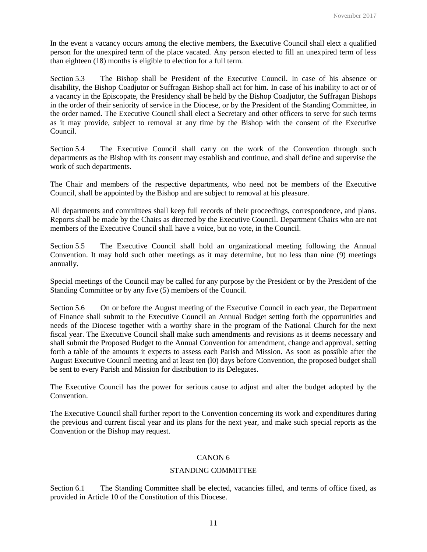In the event a vacancy occurs among the elective members, the Executive Council shall elect a qualified person for the unexpired term of the place vacated. Any person elected to fill an unexpired term of less than eighteen (18) months is eligible to election for a full term.

Section 5.3 The Bishop shall be President of the Executive Council. In case of his absence or disability, the Bishop Coadjutor or Suffragan Bishop shall act for him. In case of his inability to act or of a vacancy in the Episcopate, the Presidency shall be held by the Bishop Coadjutor, the Suffragan Bishops in the order of their seniority of service in the Diocese, or by the President of the Standing Committee, in the order named. The Executive Council shall elect a Secretary and other officers to serve for such terms as it may provide, subject to removal at any time by the Bishop with the consent of the Executive Council.

Section 5.4 The Executive Council shall carry on the work of the Convention through such departments as the Bishop with its consent may establish and continue, and shall define and supervise the work of such departments.

The Chair and members of the respective departments, who need not be members of the Executive Council, shall be appointed by the Bishop and are subject to removal at his pleasure.

All departments and committees shall keep full records of their proceedings, correspondence, and plans. Reports shall be made by the Chairs as directed by the Executive Council. Department Chairs who are not members of the Executive Council shall have a voice, but no vote, in the Council.

Section 5.5 The Executive Council shall hold an organizational meeting following the Annual Convention. It may hold such other meetings as it may determine, but no less than nine (9) meetings annually.

Special meetings of the Council may be called for any purpose by the President or by the President of the Standing Committee or by any five (5) members of the Council.

Section 5.6 On or before the August meeting of the Executive Council in each year, the Department of Finance shall submit to the Executive Council an Annual Budget setting forth the opportunities and needs of the Diocese together with a worthy share in the program of the National Church for the next fiscal year. The Executive Council shall make such amendments and revisions as it deems necessary and shall submit the Proposed Budget to the Annual Convention for amendment, change and approval, setting forth a table of the amounts it expects to assess each Parish and Mission. As soon as possible after the August Executive Council meeting and at least ten (l0) days before Convention, the proposed budget shall be sent to every Parish and Mission for distribution to its Delegates.

The Executive Council has the power for serious cause to adjust and alter the budget adopted by the Convention.

The Executive Council shall further report to the Convention concerning its work and expenditures during the previous and current fiscal year and its plans for the next year, and make such special reports as the Convention or the Bishop may request.

# CANON 6

#### STANDING COMMITTEE

Section 6.1 The Standing Committee shall be elected, vacancies filled, and terms of office fixed, as provided in Article 10 of the Constitution of this Diocese.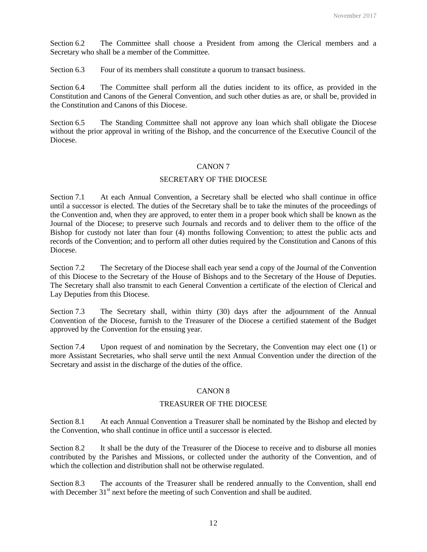Section 6.2 The Committee shall choose a President from among the Clerical members and a Secretary who shall be a member of the Committee.

Section 6.3 Four of its members shall constitute a quorum to transact business.

Section 6.4 The Committee shall perform all the duties incident to its office, as provided in the Constitution and Canons of the General Convention, and such other duties as are, or shall be, provided in the Constitution and Canons of this Diocese.

Section 6.5 The Standing Committee shall not approve any loan which shall obligate the Diocese without the prior approval in writing of the Bishop, and the concurrence of the Executive Council of the Diocese.

#### CANON 7

## SECRETARY OF THE DIOCESE

Section 7.1 At each Annual Convention, a Secretary shall be elected who shall continue in office until a successor is elected. The duties of the Secretary shall be to take the minutes of the proceedings of the Convention and, when they are approved, to enter them in a proper book which shall be known as the Journal of the Diocese; to preserve such Journals and records and to deliver them to the office of the Bishop for custody not later than four (4) months following Convention; to attest the public acts and records of the Convention; and to perform all other duties required by the Constitution and Canons of this Diocese.

Section 7.2 The Secretary of the Diocese shall each year send a copy of the Journal of the Convention of this Diocese to the Secretary of the House of Bishops and to the Secretary of the House of Deputies. The Secretary shall also transmit to each General Convention a certificate of the election of Clerical and Lay Deputies from this Diocese.

Section 7.3 The Secretary shall, within thirty (30) days after the adjournment of the Annual Convention of the Diocese, furnish to the Treasurer of the Diocese a certified statement of the Budget approved by the Convention for the ensuing year.

Section 7.4 Upon request of and nomination by the Secretary, the Convention may elect one (1) or more Assistant Secretaries, who shall serve until the next Annual Convention under the direction of the Secretary and assist in the discharge of the duties of the office.

## CANON 8

## TREASURER OF THE DIOCESE

Section 8.1 At each Annual Convention a Treasurer shall be nominated by the Bishop and elected by the Convention, who shall continue in office until a successor is elected.

Section 8.2 It shall be the duty of the Treasurer of the Diocese to receive and to disburse all monies contributed by the Parishes and Missions, or collected under the authority of the Convention, and of which the collection and distribution shall not be otherwise regulated.

Section 8.3 The accounts of the Treasurer shall be rendered annually to the Convention, shall end with December  $31<sup>st</sup>$  next before the meeting of such Convention and shall be audited.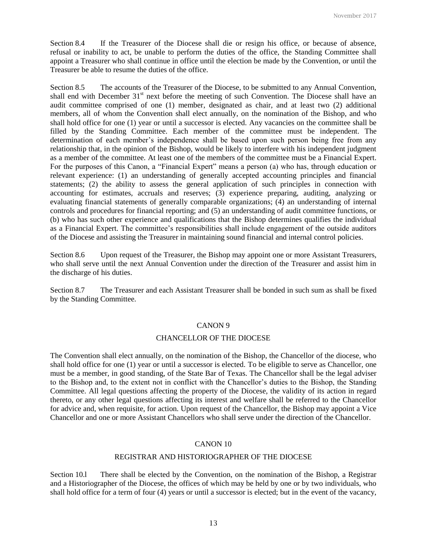Section 8.4 If the Treasurer of the Diocese shall die or resign his office, or because of absence, refusal or inability to act, be unable to perform the duties of the office, the Standing Committee shall appoint a Treasurer who shall continue in office until the election be made by the Convention, or until the Treasurer be able to resume the duties of the office.

Section 8.5 The accounts of the Treasurer of the Diocese, to be submitted to any Annual Convention, shall end with December  $31<sup>st</sup>$  next before the meeting of such Convention. The Diocese shall have an audit committee comprised of one (1) member, designated as chair, and at least two (2) additional members, all of whom the Convention shall elect annually, on the nomination of the Bishop, and who shall hold office for one (1) year or until a successor is elected. Any vacancies on the committee shall be filled by the Standing Committee. Each member of the committee must be independent. The determination of each member's independence shall be based upon such person being free from any relationship that, in the opinion of the Bishop, would be likely to interfere with his independent judgment as a member of the committee. At least one of the members of the committee must be a Financial Expert. For the purposes of this Canon, a "Financial Expert" means a person (a) who has, through education or relevant experience: (1) an understanding of generally accepted accounting principles and financial statements; (2) the ability to assess the general application of such principles in connection with accounting for estimates, accruals and reserves; (3) experience preparing, auditing, analyzing or evaluating financial statements of generally comparable organizations; (4) an understanding of internal controls and procedures for financial reporting; and (5) an understanding of audit committee functions, or (b) who has such other experience and qualifications that the Bishop determines qualifies the individual as a Financial Expert. The committee's responsibilities shall include engagement of the outside auditors of the Diocese and assisting the Treasurer in maintaining sound financial and internal control policies.

Section 8.6 Upon request of the Treasurer, the Bishop may appoint one or more Assistant Treasurers, who shall serve until the next Annual Convention under the direction of the Treasurer and assist him in the discharge of his duties.

Section 8.7 The Treasurer and each Assistant Treasurer shall be bonded in such sum as shall be fixed by the Standing Committee.

#### CANON 9

#### CHANCELLOR OF THE DIOCESE

The Convention shall elect annually, on the nomination of the Bishop, the Chancellor of the diocese, who shall hold office for one (1) year or until a successor is elected. To be eligible to serve as Chancellor, one must be a member, in good standing, of the State Bar of Texas. The Chancellor shall be the legal adviser to the Bishop and, to the extent not in conflict with the Chancellor's duties to the Bishop, the Standing Committee. All legal questions affecting the property of the Diocese, the validity of its action in regard thereto, or any other legal questions affecting its interest and welfare shall be referred to the Chancellor for advice and, when requisite, for action. Upon request of the Chancellor, the Bishop may appoint a Vice Chancellor and one or more Assistant Chancellors who shall serve under the direction of the Chancellor.

#### CANON 10

#### REGISTRAR AND HISTORIOGRAPHER OF THE DIOCESE

Section 10.l There shall be elected by the Convention, on the nomination of the Bishop, a Registrar and a Historiographer of the Diocese, the offices of which may be held by one or by two individuals, who shall hold office for a term of four (4) years or until a successor is elected; but in the event of the vacancy,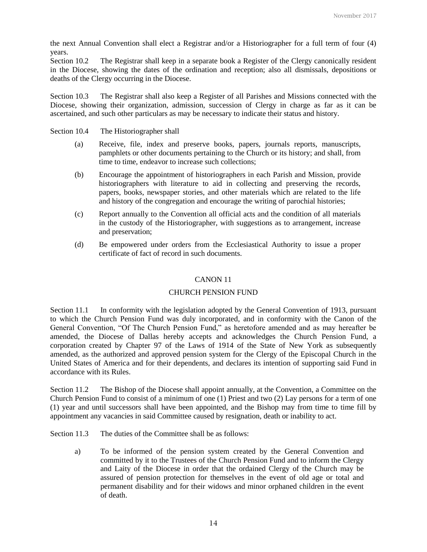the next Annual Convention shall elect a Registrar and/or a Historiographer for a full term of four (4) years.

Section 10.2 The Registrar shall keep in a separate book a Register of the Clergy canonically resident in the Diocese, showing the dates of the ordination and reception; also all dismissals, depositions or deaths of the Clergy occurring in the Diocese.

Section 10.3 The Registrar shall also keep a Register of all Parishes and Missions connected with the Diocese, showing their organization, admission, succession of Clergy in charge as far as it can be ascertained, and such other particulars as may be necessary to indicate their status and history.

Section 10.4 The Historiographer shall

- (a) Receive, file, index and preserve books, papers, journals reports, manuscripts, pamphlets or other documents pertaining to the Church or its history; and shall, from time to time, endeavor to increase such collections;
- (b) Encourage the appointment of historiographers in each Parish and Mission, provide historiographers with literature to aid in collecting and preserving the records, papers, books, newspaper stories, and other materials which are related to the life and history of the congregation and encourage the writing of parochial histories;
- (c) Report annually to the Convention all official acts and the condition of all materials in the custody of the Historiographer, with suggestions as to arrangement, increase and preservation;
- (d) Be empowered under orders from the Ecclesiastical Authority to issue a proper certificate of fact of record in such documents.

## CANON 11

#### CHURCH PENSION FUND

Section 11.1 In conformity with the legislation adopted by the General Convention of 1913, pursuant to which the Church Pension Fund was duly incorporated, and in conformity with the Canon of the General Convention, "Of The Church Pension Fund," as heretofore amended and as may hereafter be amended, the Diocese of Dallas hereby accepts and acknowledges the Church Pension Fund, a corporation created by Chapter 97 of the Laws of 1914 of the State of New York as subsequently amended, as the authorized and approved pension system for the Clergy of the Episcopal Church in the United States of America and for their dependents, and declares its intention of supporting said Fund in accordance with its Rules.

Section 11.2 The Bishop of the Diocese shall appoint annually, at the Convention, a Committee on the Church Pension Fund to consist of a minimum of one (1) Priest and two (2) Lay persons for a term of one (1) year and until successors shall have been appointed, and the Bishop may from time to time fill by appointment any vacancies in said Committee caused by resignation, death or inability to act.

Section 11.3 The duties of the Committee shall be as follows:

a) To be informed of the pension system created by the General Convention and committed by it to the Trustees of the Church Pension Fund and to inform the Clergy and Laity of the Diocese in order that the ordained Clergy of the Church may be assured of pension protection for themselves in the event of old age or total and permanent disability and for their widows and minor orphaned children in the event of death.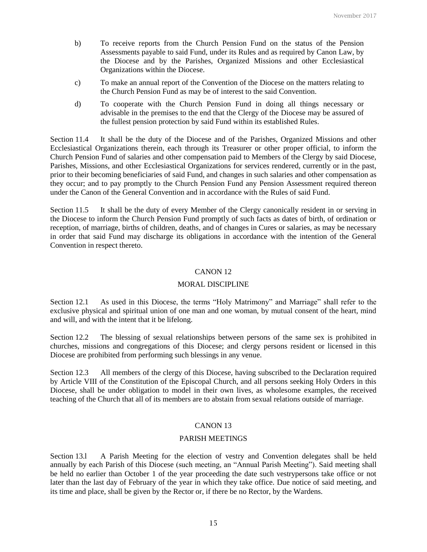- b) To receive reports from the Church Pension Fund on the status of the Pension Assessments payable to said Fund, under its Rules and as required by Canon Law, by the Diocese and by the Parishes, Organized Missions and other Ecclesiastical Organizations within the Diocese.
- c) To make an annual report of the Convention of the Diocese on the matters relating to the Church Pension Fund as may be of interest to the said Convention.
- d) To cooperate with the Church Pension Fund in doing all things necessary or advisable in the premises to the end that the Clergy of the Diocese may be assured of the fullest pension protection by said Fund within its established Rules.

Section 11.4 It shall be the duty of the Diocese and of the Parishes, Organized Missions and other Ecclesiastical Organizations therein, each through its Treasurer or other proper official, to inform the Church Pension Fund of salaries and other compensation paid to Members of the Clergy by said Diocese, Parishes, Missions, and other Ecclesiastical Organizations for services rendered, currently or in the past, prior to their becoming beneficiaries of said Fund, and changes in such salaries and other compensation as they occur; and to pay promptly to the Church Pension Fund any Pension Assessment required thereon under the Canon of the General Convention and in accordance with the Rules of said Fund.

Section 11.5 It shall be the duty of every Member of the Clergy canonically resident in or serving in the Diocese to inform the Church Pension Fund promptly of such facts as dates of birth, of ordination or reception, of marriage, births of children, deaths, and of changes in Cures or salaries, as may be necessary in order that said Fund may discharge its obligations in accordance with the intention of the General Convention in respect thereto.

## CANON 12

#### MORAL DISCIPLINE

Section 12.1 As used in this Diocese, the terms "Holy Matrimony" and Marriage" shall refer to the exclusive physical and spiritual union of one man and one woman, by mutual consent of the heart, mind and will, and with the intent that it be lifelong.

Section 12.2 The blessing of sexual relationships between persons of the same sex is prohibited in churches, missions and congregations of this Diocese; and clergy persons resident or licensed in this Diocese are prohibited from performing such blessings in any venue.

Section 12.3 All members of the clergy of this Diocese, having subscribed to the Declaration required by Article VIII of the Constitution of the Episcopal Church, and all persons seeking Holy Orders in this Diocese, shall be under obligation to model in their own lives, as wholesome examples, the received teaching of the Church that all of its members are to abstain from sexual relations outside of marriage.

# CANON 13

#### PARISH MEETINGS

Section 13.1 A Parish Meeting for the election of vestry and Convention delegates shall be held annually by each Parish of this Diocese (such meeting, an "Annual Parish Meeting"). Said meeting shall be held no earlier than October 1 of the year proceeding the date such vestrypersons take office or not later than the last day of February of the year in which they take office. Due notice of said meeting, and its time and place, shall be given by the Rector or, if there be no Rector, by the Wardens.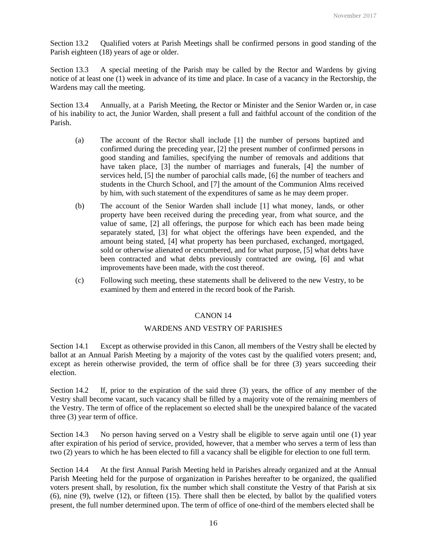Section 13.2 Qualified voters at Parish Meetings shall be confirmed persons in good standing of the Parish eighteen (18) years of age or older.

Section 13.3 A special meeting of the Parish may be called by the Rector and Wardens by giving notice of at least one (1) week in advance of its time and place. In case of a vacancy in the Rectorship, the Wardens may call the meeting.

Section 13.4 Annually, at a Parish Meeting, the Rector or Minister and the Senior Warden or, in case of his inability to act, the Junior Warden, shall present a full and faithful account of the condition of the Parish.

- (a) The account of the Rector shall include [1] the number of persons baptized and confirmed during the preceding year, [2] the present number of confirmed persons in good standing and families, specifying the number of removals and additions that have taken place, [3] the number of marriages and funerals, [4] the number of services held, [5] the number of parochial calls made, [6] the number of teachers and students in the Church School, and [7] the amount of the Communion Alms received by him, with such statement of the expenditures of same as he may deem proper.
- (b) The account of the Senior Warden shall include [1] what money, lands, or other property have been received during the preceding year, from what source, and the value of same, [2] all offerings, the purpose for which each has been made being separately stated, [3] for what object the offerings have been expended, and the amount being stated, [4] what property has been purchased, exchanged, mortgaged, sold or otherwise alienated or encumbered, and for what purpose, [5] what debts have been contracted and what debts previously contracted are owing, [6] and what improvements have been made, with the cost thereof.
- (c) Following such meeting, these statements shall be delivered to the new Vestry, to be examined by them and entered in the record book of the Parish.

#### CANON 14

#### WARDENS AND VESTRY OF PARISHES

Section 14.1 Except as otherwise provided in this Canon, all members of the Vestry shall be elected by ballot at an Annual Parish Meeting by a majority of the votes cast by the qualified voters present; and, except as herein otherwise provided, the term of office shall be for three (3) years succeeding their election.

Section 14.2 If, prior to the expiration of the said three (3) years, the office of any member of the Vestry shall become vacant, such vacancy shall be filled by a majority vote of the remaining members of the Vestry. The term of office of the replacement so elected shall be the unexpired balance of the vacated three (3) year term of office.

Section 14.3 No person having served on a Vestry shall be eligible to serve again until one (1) year after expiration of his period of service, provided, however, that a member who serves a term of less than two (2) years to which he has been elected to fill a vacancy shall be eligible for election to one full term.

Section 14.4 At the first Annual Parish Meeting held in Parishes already organized and at the Annual Parish Meeting held for the purpose of organization in Parishes hereafter to be organized, the qualified voters present shall, by resolution, fix the number which shall constitute the Vestry of that Parish at six (6), nine (9), twelve (12), or fifteen (15). There shall then be elected, by ballot by the qualified voters present, the full number determined upon. The term of office of one-third of the members elected shall be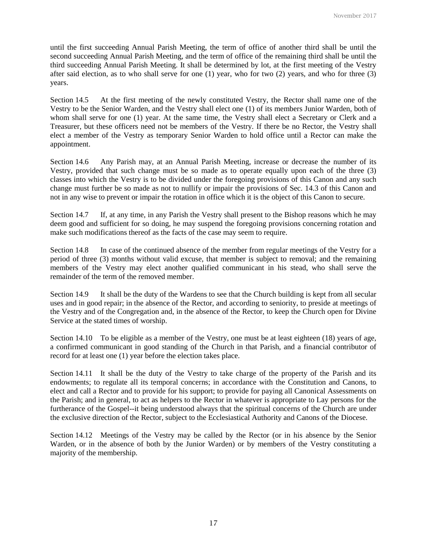until the first succeeding Annual Parish Meeting, the term of office of another third shall be until the second succeeding Annual Parish Meeting, and the term of office of the remaining third shall be until the third succeeding Annual Parish Meeting. It shall be determined by lot, at the first meeting of the Vestry after said election, as to who shall serve for one (1) year, who for two (2) years, and who for three (3) years.

Section 14.5 At the first meeting of the newly constituted Vestry, the Rector shall name one of the Vestry to be the Senior Warden, and the Vestry shall elect one (1) of its members Junior Warden, both of whom shall serve for one (1) year. At the same time, the Vestry shall elect a Secretary or Clerk and a Treasurer, but these officers need not be members of the Vestry. If there be no Rector, the Vestry shall elect a member of the Vestry as temporary Senior Warden to hold office until a Rector can make the appointment.

Section 14.6 Any Parish may, at an Annual Parish Meeting, increase or decrease the number of its Vestry, provided that such change must be so made as to operate equally upon each of the three (3) classes into which the Vestry is to be divided under the foregoing provisions of this Canon and any such change must further be so made as not to nullify or impair the provisions of Sec. 14.3 of this Canon and not in any wise to prevent or impair the rotation in office which it is the object of this Canon to secure.

Section 14.7 If, at any time, in any Parish the Vestry shall present to the Bishop reasons which he may deem good and sufficient for so doing, he may suspend the foregoing provisions concerning rotation and make such modifications thereof as the facts of the case may seem to require.

Section 14.8 In case of the continued absence of the member from regular meetings of the Vestry for a period of three (3) months without valid excuse, that member is subject to removal; and the remaining members of the Vestry may elect another qualified communicant in his stead, who shall serve the remainder of the term of the removed member.

Section 14.9 It shall be the duty of the Wardens to see that the Church building is kept from all secular uses and in good repair; in the absence of the Rector, and according to seniority, to preside at meetings of the Vestry and of the Congregation and, in the absence of the Rector, to keep the Church open for Divine Service at the stated times of worship.

Section 14.10 To be eligible as a member of the Vestry, one must be at least eighteen (18) years of age, a confirmed communicant in good standing of the Church in that Parish, and a financial contributor of record for at least one (1) year before the election takes place.

Section 14.11 It shall be the duty of the Vestry to take charge of the property of the Parish and its endowments; to regulate all its temporal concerns; in accordance with the Constitution and Canons, to elect and call a Rector and to provide for his support; to provide for paying all Canonical Assessments on the Parish; and in general, to act as helpers to the Rector in whatever is appropriate to Lay persons for the furtherance of the Gospel--it being understood always that the spiritual concerns of the Church are under the exclusive direction of the Rector, subject to the Ecclesiastical Authority and Canons of the Diocese.

Section 14.12 Meetings of the Vestry may be called by the Rector (or in his absence by the Senior Warden, or in the absence of both by the Junior Warden) or by members of the Vestry constituting a majority of the membership.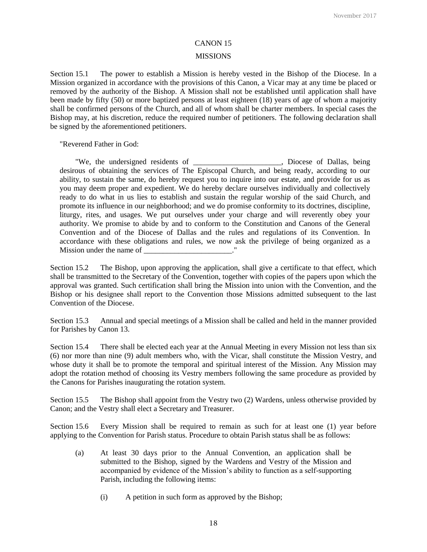#### CANON 15

#### **MISSIONS**

Section 15.1 The power to establish a Mission is hereby vested in the Bishop of the Diocese. In a Mission organized in accordance with the provisions of this Canon, a Vicar may at any time be placed or removed by the authority of the Bishop. A Mission shall not be established until application shall have been made by fifty (50) or more baptized persons at least eighteen (18) years of age of whom a majority shall be confirmed persons of the Church, and all of whom shall be charter members. In special cases the Bishop may, at his discretion, reduce the required number of petitioners. The following declaration shall be signed by the aforementioned petitioners.

"Reverend Father in God:

"We, the undersigned residents of \_\_\_\_\_\_\_\_\_\_\_\_\_\_\_\_\_\_\_\_\_\_\_, Diocese of Dallas, being desirous of obtaining the services of The Episcopal Church, and being ready, according to our ability, to sustain the same, do hereby request you to inquire into our estate, and provide for us as you may deem proper and expedient. We do hereby declare ourselves individually and collectively ready to do what in us lies to establish and sustain the regular worship of the said Church, and promote its influence in our neighborhood; and we do promise conformity to its doctrines, discipline, liturgy, rites, and usages. We put ourselves under your charge and will reverently obey your authority. We promise to abide by and to conform to the Constitution and Canons of the General Convention and of the Diocese of Dallas and the rules and regulations of its Convention. In accordance with these obligations and rules, we now ask the privilege of being organized as a Mission under the name of  $\blacksquare$ 

Section 15.2 The Bishop, upon approving the application, shall give a certificate to that effect, which shall be transmitted to the Secretary of the Convention, together with copies of the papers upon which the approval was granted. Such certification shall bring the Mission into union with the Convention, and the Bishop or his designee shall report to the Convention those Missions admitted subsequent to the last Convention of the Diocese.

Section 15.3 Annual and special meetings of a Mission shall be called and held in the manner provided for Parishes by Canon 13.

Section 15.4 There shall be elected each year at the Annual Meeting in every Mission not less than six (6) nor more than nine (9) adult members who, with the Vicar, shall constitute the Mission Vestry, and whose duty it shall be to promote the temporal and spiritual interest of the Mission. Any Mission may adopt the rotation method of choosing its Vestry members following the same procedure as provided by the Canons for Parishes inaugurating the rotation system.

Section 15.5 The Bishop shall appoint from the Vestry two (2) Wardens, unless otherwise provided by Canon; and the Vestry shall elect a Secretary and Treasurer.

Section 15.6 Every Mission shall be required to remain as such for at least one (1) year before applying to the Convention for Parish status. Procedure to obtain Parish status shall be as follows:

- (a) At least 30 days prior to the Annual Convention, an application shall be submitted to the Bishop, signed by the Wardens and Vestry of the Mission and accompanied by evidence of the Mission's ability to function as a self-supporting Parish, including the following items:
	- (i) A petition in such form as approved by the Bishop;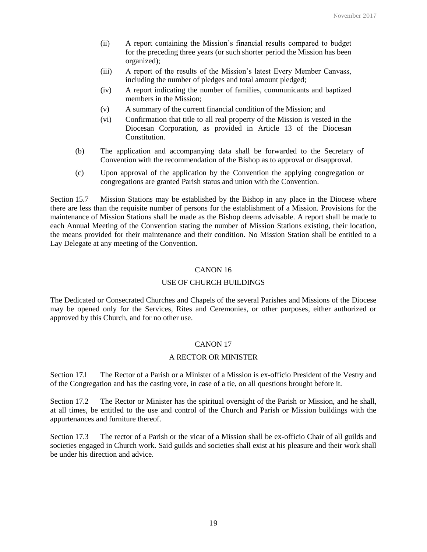- (ii) A report containing the Mission's financial results compared to budget for the preceding three years (or such shorter period the Mission has been organized);
- (iii) A report of the results of the Mission's latest Every Member Canvass, including the number of pledges and total amount pledged;
- (iv) A report indicating the number of families, communicants and baptized members in the Mission;
- (v) A summary of the current financial condition of the Mission; and
- (vi) Confirmation that title to all real property of the Mission is vested in the Diocesan Corporation, as provided in Article 13 of the Diocesan Constitution.
- (b) The application and accompanying data shall be forwarded to the Secretary of Convention with the recommendation of the Bishop as to approval or disapproval.
- (c) Upon approval of the application by the Convention the applying congregation or congregations are granted Parish status and union with the Convention.

Section 15.7 Mission Stations may be established by the Bishop in any place in the Diocese where there are less than the requisite number of persons for the establishment of a Mission. Provisions for the maintenance of Mission Stations shall be made as the Bishop deems advisable. A report shall be made to each Annual Meeting of the Convention stating the number of Mission Stations existing, their location, the means provided for their maintenance and their condition. No Mission Station shall be entitled to a Lay Delegate at any meeting of the Convention.

# CANON 16

#### USE OF CHURCH BUILDINGS

The Dedicated or Consecrated Churches and Chapels of the several Parishes and Missions of the Diocese may be opened only for the Services, Rites and Ceremonies, or other purposes, either authorized or approved by this Church, and for no other use.

#### CANON 17

#### A RECTOR OR MINISTER

Section 17.l The Rector of a Parish or a Minister of a Mission is ex-officio President of the Vestry and of the Congregation and has the casting vote, in case of a tie, on all questions brought before it.

Section 17.2 The Rector or Minister has the spiritual oversight of the Parish or Mission, and he shall, at all times, be entitled to the use and control of the Church and Parish or Mission buildings with the appurtenances and furniture thereof.

Section 17.3 The rector of a Parish or the vicar of a Mission shall be ex-officio Chair of all guilds and societies engaged in Church work. Said guilds and societies shall exist at his pleasure and their work shall be under his direction and advice.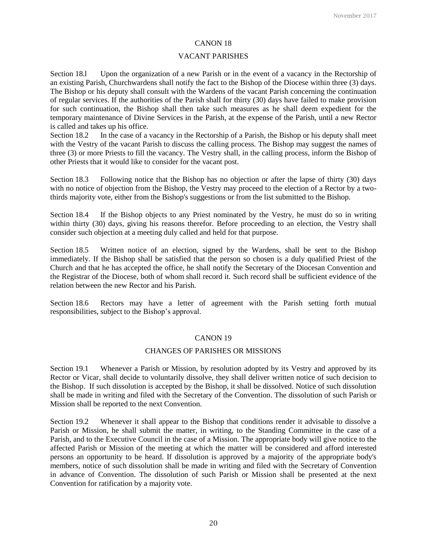#### CANON 18

#### VACANT PARISHES

Section 18.l Upon the organization of a new Parish or in the event of a vacancy in the Rectorship of an existing Parish, Churchwardens shall notify the fact to the Bishop of the Diocese within three (3) days. The Bishop or his deputy shall consult with the Wardens of the vacant Parish concerning the continuation of regular services. If the authorities of the Parish shall for thirty (30) days have failed to make provision for such continuation, the Bishop shall then take such measures as he shall deem expedient for the temporary maintenance of Divine Services in the Parish, at the expense of the Parish, until a new Rector is called and takes up his office.

Section 18.2 In the case of a vacancy in the Rectorship of a Parish, the Bishop or his deputy shall meet with the Vestry of the vacant Parish to discuss the calling process. The Bishop may suggest the names of three (3) or more Priests to fill the vacancy. The Vestry shall, in the calling process, inform the Bishop of other Priests that it would like to consider for the vacant post.

Section 18.3 Following notice that the Bishop has no objection or after the lapse of thirty (30) days with no notice of objection from the Bishop*,* the Vestry may proceed to the election of a Rector by a twothirds majority vote, either from the Bishop's suggestions or from the list submitted to the Bishop.

Section 18.4 If the Bishop objects to any Priest nominated by the Vestry, he must do so in writing within thirty (30) days, giving his reasons therefor. Before proceeding to an election, the Vestry shall consider such objection at a meeting duly called and held for that purpose.

Section 18.5 Written notice of an election, signed by the Wardens, shall be sent to the Bishop immediately. If the Bishop shall be satisfied that the person so chosen is a duly qualified Priest of the Church and that he has accepted the office, he shall notify the Secretary of the Diocesan Convention and the Registrar of the Diocese, both of whom shall record it. Such record shall be sufficient evidence of the relation between the new Rector and his Parish.

Section 18.6 Rectors may have a letter of agreement with the Parish setting forth mutual responsibilities, subject to the Bishop's approval.

#### CANON 19

#### CHANGES OF PARISHES OR MISSIONS

Section 19.1 Whenever a Parish or Mission, by resolution adopted by its Vestry and approved by its Rector or Vicar, shall decide to voluntarily dissolve, they shall deliver written notice of such decision to the Bishop. If such dissolution is accepted by the Bishop, it shall be dissolved. Notice of such dissolution shall be made in writing and filed with the Secretary of the Convention. The dissolution of such Parish or Mission shall be reported to the next Convention.

Section 19.2 Whenever it shall appear to the Bishop that conditions render it advisable to dissolve a Parish or Mission, he shall submit the matter, in writing, to the Standing Committee in the case of a Parish, and to the Executive Council in the case of a Mission. The appropriate body will give notice to the affected Parish or Mission of the meeting at which the matter will be considered and afford interested persons an opportunity to be heard. If dissolution is approved by a majority of the appropriate body's members, notice of such dissolution shall be made in writing and filed with the Secretary of Convention in advance of Convention. The dissolution of such Parish or Mission shall be presented at the next Convention for ratification by a majority vote.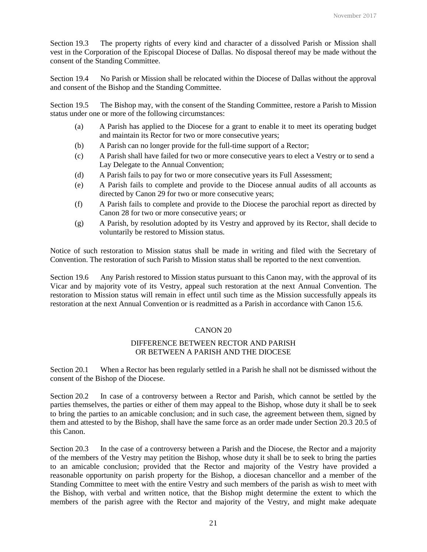Section 19.3 The property rights of every kind and character of a dissolved Parish or Mission shall vest in the Corporation of the Episcopal Diocese of Dallas. No disposal thereof may be made without the consent of the Standing Committee.

Section 19.4 No Parish or Mission shall be relocated within the Diocese of Dallas without the approval and consent of the Bishop and the Standing Committee.

Section 19.5 The Bishop may, with the consent of the Standing Committee, restore a Parish to Mission status under one or more of the following circumstances:

- (a) A Parish has applied to the Diocese for a grant to enable it to meet its operating budget and maintain its Rector for two or more consecutive years;
- (b) A Parish can no longer provide for the full-time support of a Rector;
- (c) A Parish shall have failed for two or more consecutive years to elect a Vestry or to send a Lay Delegate to the Annual Convention;
- (d) A Parish fails to pay for two or more consecutive years its Full Assessment;
- (e) A Parish fails to complete and provide to the Diocese annual audits of all accounts as directed by Canon 29 for two or more consecutive years;
- (f) A Parish fails to complete and provide to the Diocese the parochial report as directed by Canon 28 for two or more consecutive years; or
- (g) A Parish, by resolution adopted by its Vestry and approved by its Rector, shall decide to voluntarily be restored to Mission status.

Notice of such restoration to Mission status shall be made in writing and filed with the Secretary of Convention. The restoration of such Parish to Mission status shall be reported to the next convention.

Section 19.6 Any Parish restored to Mission status pursuant to this Canon may, with the approval of its Vicar and by majority vote of its Vestry, appeal such restoration at the next Annual Convention. The restoration to Mission status will remain in effect until such time as the Mission successfully appeals its restoration at the next Annual Convention or is readmitted as a Parish in accordance with Canon 15.6.

# CANON 20

# DIFFERENCE BETWEEN RECTOR AND PARISH OR BETWEEN A PARISH AND THE DIOCESE

Section 20.1 When a Rector has been regularly settled in a Parish he shall not be dismissed without the consent of the Bishop of the Diocese.

Section 20.2 In case of a controversy between a Rector and Parish, which cannot be settled by the parties themselves, the parties or either of them may appeal to the Bishop, whose duty it shall be to seek to bring the parties to an amicable conclusion; and in such case, the agreement between them, signed by them and attested to by the Bishop, shall have the same force as an order made under Section 20.3 20.5 of this Canon.

Section 20.3 In the case of a controversy between a Parish and the Diocese, the Rector and a majority of the members of the Vestry may petition the Bishop, whose duty it shall be to seek to bring the parties to an amicable conclusion; provided that the Rector and majority of the Vestry have provided a reasonable opportunity on parish property for the Bishop, a diocesan chancellor and a member of the Standing Committee to meet with the entire Vestry and such members of the parish as wish to meet with the Bishop, with verbal and written notice, that the Bishop might determine the extent to which the members of the parish agree with the Rector and majority of the Vestry, and might make adequate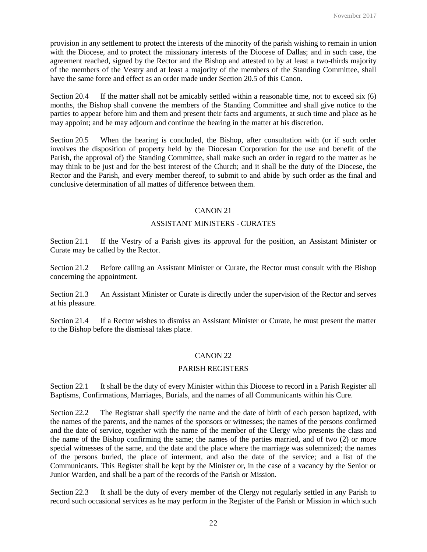provision in any settlement to protect the interests of the minority of the parish wishing to remain in union with the Diocese, and to protect the missionary interests of the Diocese of Dallas; and in such case, the agreement reached, signed by the Rector and the Bishop and attested to by at least a two-thirds majority of the members of the Vestry and at least a majority of the members of the Standing Committee, shall have the same force and effect as an order made under Section 20.5 of this Canon.

Section 20.4 If the matter shall not be amicably settled within a reasonable time, not to exceed six (6) months, the Bishop shall convene the members of the Standing Committee and shall give notice to the parties to appear before him and them and present their facts and arguments, at such time and place as he may appoint; and he may adjourn and continue the hearing in the matter at his discretion.

Section 20.5 When the hearing is concluded, the Bishop, after consultation with (or if such order involves the disposition of property held by the Diocesan Corporation for the use and benefit of the Parish, the approval of) the Standing Committee, shall make such an order in regard to the matter as he may think to be just and for the best interest of the Church; and it shall be the duty of the Diocese, the Rector and the Parish, and every member thereof, to submit to and abide by such order as the final and conclusive determination of all mattes of difference between them.

## CANON 21

# ASSISTANT MINISTERS - CURATES

Section 21.1 If the Vestry of a Parish gives its approval for the position, an Assistant Minister or Curate may be called by the Rector.

Section 21.2 Before calling an Assistant Minister or Curate, the Rector must consult with the Bishop concerning the appointment.

Section 21.3 An Assistant Minister or Curate is directly under the supervision of the Rector and serves at his pleasure.

Section 21.4 If a Rector wishes to dismiss an Assistant Minister or Curate, he must present the matter to the Bishop before the dismissal takes place.

# CANON 22

# PARISH REGISTERS

Section 22.1 It shall be the duty of every Minister within this Diocese to record in a Parish Register all Baptisms, Confirmations, Marriages, Burials, and the names of all Communicants within his Cure.

Section 22.2 The Registrar shall specify the name and the date of birth of each person baptized, with the names of the parents, and the names of the sponsors or witnesses; the names of the persons confirmed and the date of service, together with the name of the member of the Clergy who presents the class and the name of the Bishop confirming the same; the names of the parties married, and of two (2) or more special witnesses of the same, and the date and the place where the marriage was solemnized; the names of the persons buried, the place of interment, and also the date of the service; and a list of the Communicants. This Register shall be kept by the Minister or, in the case of a vacancy by the Senior or Junior Warden, and shall be a part of the records of the Parish or Mission.

Section 22.3 It shall be the duty of every member of the Clergy not regularly settled in any Parish to record such occasional services as he may perform in the Register of the Parish or Mission in which such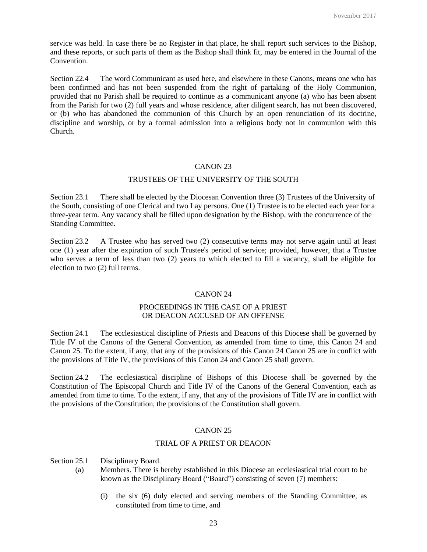service was held. In case there be no Register in that place, he shall report such services to the Bishop, and these reports, or such parts of them as the Bishop shall think fit, may be entered in the Journal of the Convention.

Section 22.4 The word Communicant as used here, and elsewhere in these Canons, means one who has been confirmed and has not been suspended from the right of partaking of the Holy Communion, provided that no Parish shall be required to continue as a communicant anyone (a) who has been absent from the Parish for two (2) full years and whose residence, after diligent search, has not been discovered, or (b) who has abandoned the communion of this Church by an open renunciation of its doctrine, discipline and worship, or by a formal admission into a religious body not in communion with this Church.

#### CANON 23

#### TRUSTEES OF THE UNIVERSITY OF THE SOUTH

Section 23.1 There shall be elected by the Diocesan Convention three (3) Trustees of the University of the South, consisting of one Clerical and two Lay persons. One (1) Trustee is to be elected each year for a three-year term. Any vacancy shall be filled upon designation by the Bishop, with the concurrence of the Standing Committee.

Section 23.2 A Trustee who has served two (2) consecutive terms may not serve again until at least one (1) year after the expiration of such Trustee's period of service; provided, however, that a Trustee who serves a term of less than two (2) years to which elected to fill a vacancy, shall be eligible for election to two (2) full terms.

#### CANON 24

## PROCEEDINGS IN THE CASE OF A PRIEST OR DEACON ACCUSED OF AN OFFENSE

Section 24.1 The ecclesiastical discipline of Priests and Deacons of this Diocese shall be governed by Title IV of the Canons of the General Convention, as amended from time to time, this Canon 24 and Canon 25. To the extent, if any, that any of the provisions of this Canon 24 Canon 25 are in conflict with the provisions of Title IV, the provisions of this Canon 24 and Canon 25 shall govern.

Section 24.2 The ecclesiastical discipline of Bishops of this Diocese shall be governed by the Constitution of The Episcopal Church and Title IV of the Canons of the General Convention, each as amended from time to time. To the extent, if any, that any of the provisions of Title IV are in conflict with the provisions of the Constitution, the provisions of the Constitution shall govern.

#### CANON 25

#### TRIAL OF A PRIEST OR DEACON

Section 25.1 Disciplinary Board.

- (a) Members. There is hereby established in this Diocese an ecclesiastical trial court to be known as the Disciplinary Board ("Board") consisting of seven (7) members:
	- (i) the six (6) duly elected and serving members of the Standing Committee, as constituted from time to time, and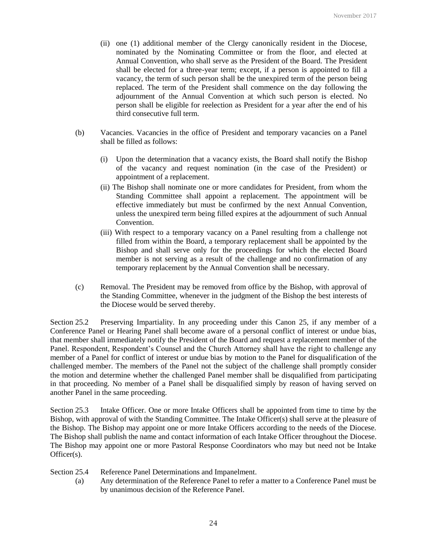- (ii) one (1) additional member of the Clergy canonically resident in the Diocese, nominated by the Nominating Committee or from the floor, and elected at Annual Convention, who shall serve as the President of the Board. The President shall be elected for a three-year term; except, if a person is appointed to fill a vacancy, the term of such person shall be the unexpired term of the person being replaced. The term of the President shall commence on the day following the adjournment of the Annual Convention at which such person is elected. No person shall be eligible for reelection as President for a year after the end of his third consecutive full term.
- (b) Vacancies. Vacancies in the office of President and temporary vacancies on a Panel shall be filled as follows:
	- (i) Upon the determination that a vacancy exists, the Board shall notify the Bishop of the vacancy and request nomination (in the case of the President) or appointment of a replacement.
	- (ii) The Bishop shall nominate one or more candidates for President, from whom the Standing Committee shall appoint a replacement. The appointment will be effective immediately but must be confirmed by the next Annual Convention, unless the unexpired term being filled expires at the adjournment of such Annual Convention.
	- (iii) With respect to a temporary vacancy on a Panel resulting from a challenge not filled from within the Board, a temporary replacement shall be appointed by the Bishop and shall serve only for the proceedings for which the elected Board member is not serving as a result of the challenge and no confirmation of any temporary replacement by the Annual Convention shall be necessary.
- (c) Removal. The President may be removed from office by the Bishop, with approval of the Standing Committee, whenever in the judgment of the Bishop the best interests of the Diocese would be served thereby.

Section 25.2 Preserving Impartiality. In any proceeding under this Canon 25, if any member of a Conference Panel or Hearing Panel shall become aware of a personal conflict of interest or undue bias, that member shall immediately notify the President of the Board and request a replacement member of the Panel. Respondent, Respondent's Counsel and the Church Attorney shall have the right to challenge any member of a Panel for conflict of interest or undue bias by motion to the Panel for disqualification of the challenged member. The members of the Panel not the subject of the challenge shall promptly consider the motion and determine whether the challenged Panel member shall be disqualified from participating in that proceeding. No member of a Panel shall be disqualified simply by reason of having served on another Panel in the same proceeding.

Section 25.3 Intake Officer. One or more Intake Officers shall be appointed from time to time by the Bishop, with approval of with the Standing Committee. The Intake Officer(s) shall serve at the pleasure of the Bishop. The Bishop may appoint one or more Intake Officers according to the needs of the Diocese. The Bishop shall publish the name and contact information of each Intake Officer throughout the Diocese. The Bishop may appoint one or more Pastoral Response Coordinators who may but need not be Intake Officer(s).

Section 25.4 Reference Panel Determinations and Impanelment.

(a) Any determination of the Reference Panel to refer a matter to a Conference Panel must be by unanimous decision of the Reference Panel.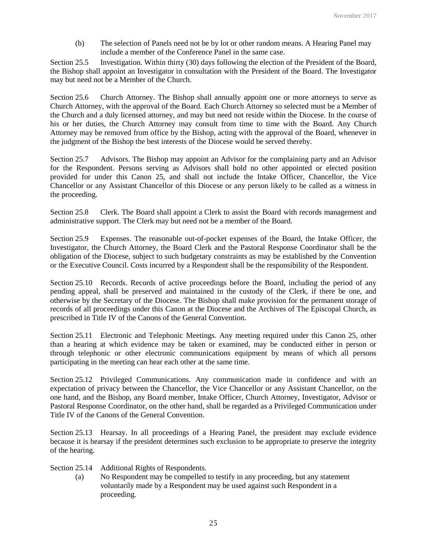(b) The selection of Panels need not be by lot or other random means. A Hearing Panel may include a member of the Conference Panel in the same case.

Section 25.5 Investigation. Within thirty (30) days following the election of the President of the Board, the Bishop shall appoint an Investigator in consultation with the President of the Board. The Investigator may but need not be a Member of the Church.

Section 25.6 Church Attorney. The Bishop shall annually appoint one or more attorneys to serve as Church Attorney, with the approval of the Board. Each Church Attorney so selected must be a Member of the Church and a duly licensed attorney, and may but need not reside within the Diocese. In the course of his or her duties, the Church Attorney may consult from time to time with the Board. Any Church Attorney may be removed from office by the Bishop, acting with the approval of the Board, whenever in the judgment of the Bishop the best interests of the Diocese would be served thereby.

Section 25.7 Advisors. The Bishop may appoint an Advisor for the complaining party and an Advisor for the Respondent. Persons serving as Advisors shall hold no other appointed or elected position provided for under this Canon 25, and shall not include the Intake Officer, Chancellor, the Vice Chancellor or any Assistant Chancellor of this Diocese or any person likely to be called as a witness in the proceeding.

Section 25.8 Clerk. The Board shall appoint a Clerk to assist the Board with records management and administrative support. The Clerk may but need not be a member of the Board.

Section 25.9 Expenses. The reasonable out-of-pocket expenses of the Board, the Intake Officer, the Investigator, the Church Attorney, the Board Clerk and the Pastoral Response Coordinator shall be the obligation of the Diocese, subject to such budgetary constraints as may be established by the Convention or the Executive Council. Costs incurred by a Respondent shall be the responsibility of the Respondent.

Section 25.10 Records. Records of active proceedings before the Board, including the period of any pending appeal, shall be preserved and maintained in the custody of the Clerk, if there be one, and otherwise by the Secretary of the Diocese. The Bishop shall make provision for the permanent storage of records of all proceedings under this Canon at the Diocese and the Archives of The Episcopal Church, as prescribed in Title IV of the Canons of the General Convention.

Section 25.11 Electronic and Telephonic Meetings. Any meeting required under this Canon 25, other than a hearing at which evidence may be taken or examined, may be conducted either in person or through telephonic or other electronic communications equipment by means of which all persons participating in the meeting can hear each other at the same time.

Section 25.12 Privileged Communications. Any communication made in confidence and with an expectation of privacy between the Chancellor, the Vice Chancellor or any Assistant Chancellor, on the one hand, and the Bishop, any Board member, Intake Officer, Church Attorney, Investigator, Advisor or Pastoral Response Coordinator, on the other hand, shall be regarded as a Privileged Communication under Title IV of the Canons of the General Convention.

Section 25.13 Hearsay. In all proceedings of a Hearing Panel, the president may exclude evidence because it is hearsay if the president determines such exclusion to be appropriate to preserve the integrity of the hearing.

- Section 25.14 Additional Rights of Respondents.
	- (a) No Respondent may be compelled to testify in any proceeding, but any statement voluntarily made by a Respondent may be used against such Respondent in a proceeding.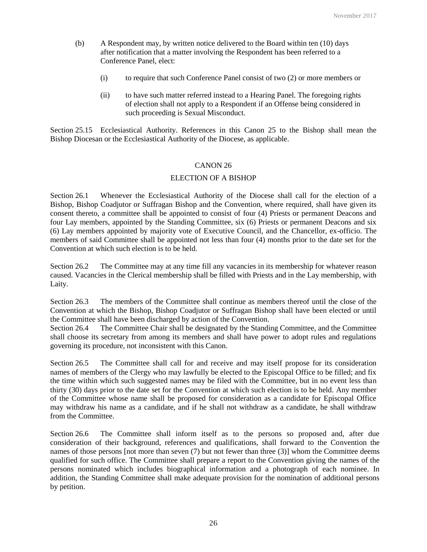- (b) A Respondent may, by written notice delivered to the Board within ten (10) days after notification that a matter involving the Respondent has been referred to a Conference Panel, elect:
	- (i) to require that such Conference Panel consist of two (2) or more members or
	- (ii) to have such matter referred instead to a Hearing Panel. The foregoing rights of election shall not apply to a Respondent if an Offense being considered in such proceeding is Sexual Misconduct.

Section 25.15 Ecclesiastical Authority. References in this Canon 25 to the Bishop shall mean the Bishop Diocesan or the Ecclesiastical Authority of the Diocese, as applicable.

## CANON 26

## ELECTION OF A BISHOP

Section 26.1 Whenever the Ecclesiastical Authority of the Diocese shall call for the election of a Bishop, Bishop Coadjutor or Suffragan Bishop and the Convention, where required, shall have given its consent thereto, a committee shall be appointed to consist of four (4) Priests or permanent Deacons and four Lay members, appointed by the Standing Committee, six (6) Priests or permanent Deacons and six (6) Lay members appointed by majority vote of Executive Council, and the Chancellor, ex-officio. The members of said Committee shall be appointed not less than four (4) months prior to the date set for the Convention at which such election is to be held.

Section 26.2 The Committee may at any time fill any vacancies in its membership for whatever reason caused. Vacancies in the Clerical membership shall be filled with Priests and in the Lay membership, with Laity.

Section 26.3 The members of the Committee shall continue as members thereof until the close of the Convention at which the Bishop, Bishop Coadjutor or Suffragan Bishop shall have been elected or until the Committee shall have been discharged by action of the Convention.

Section 26.4 The Committee Chair shall be designated by the Standing Committee, and the Committee shall choose its secretary from among its members and shall have power to adopt rules and regulations governing its procedure, not inconsistent with this Canon.

Section 26.5 The Committee shall call for and receive and may itself propose for its consideration names of members of the Clergy who may lawfully be elected to the Episcopal Office to be filled; and fix the time within which such suggested names may be filed with the Committee, but in no event less than thirty (30) days prior to the date set for the Convention at which such election is to be held. Any member of the Committee whose name shall be proposed for consideration as a candidate for Episcopal Office may withdraw his name as a candidate, and if he shall not withdraw as a candidate, he shall withdraw from the Committee.

Section 26.6 The Committee shall inform itself as to the persons so proposed and, after due consideration of their background, references and qualifications, shall forward to the Convention the names of those persons [not more than seven (7) but not fewer than three (3)] whom the Committee deems qualified for such office. The Committee shall prepare a report to the Convention giving the names of the persons nominated which includes biographical information and a photograph of each nominee. In addition, the Standing Committee shall make adequate provision for the nomination of additional persons by petition.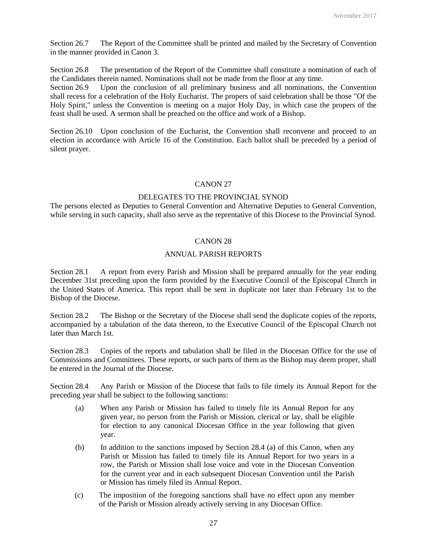Section 26.7 The Report of the Committee shall be printed and mailed by the Secretary of Convention in the manner provided in Canon 3.

Section 26.8 The presentation of the Report of the Committee shall constitute a nomination of each of the Candidates therein named. Nominations shall not be made from the floor at any time.

Section 26.9 Upon the conclusion of all preliminary business and all nominations, the Convention shall recess for a celebration of the Holy Eucharist. The propers of said celebration shall be those "Of the Holy Spirit," unless the Convention is meeting on a major Holy Day, in which case the propers of the feast shall be used. A sermon shall be preached on the office and work of a Bishop.

Section 26.10 Upon conclusion of the Eucharist, the Convention shall reconvene and proceed to an election in accordance with Article 16 of the Constitution. Each ballot shall be preceded by a period of silent prayer.

## CANON 27

# DELEGATES TO THE PROVINCIAL SYNOD

The persons elected as Deputies to General Convention and Alternative Deputies to General Convention, while serving in such capacity, shall also serve as the reprentative of this Diocese to the Provincial Synod.

#### CANON 28

#### ANNUAL PARISH REPORTS

Section 28.1 A report from every Parish and Mission shall be prepared annually for the year ending December 31st preceding upon the form provided by the Executive Council of the Episcopal Church in the United States of America. This report shall be sent in duplicate not later than February 1st to the Bishop of the Diocese.

Section 28.2 The Bishop or the Secretary of the Diocese shall send the duplicate copies of the reports, accompanied by a tabulation of the data thereon, to the Executive Council of the Episcopal Church not later than March 1st.

Section 28.3 Copies of the reports and tabulation shall be filed in the Diocesan Office for the use of Commissions and Committees. These reports, or such parts of them as the Bishop may deem proper, shall be entered in the Journal of the Diocese.

Section 28.4 Any Parish or Mission of the Diocese that fails to file timely its Annual Report for the preceding year shall be subject to the following sanctions:

- (a) When any Parish or Mission has failed to timely file its Annual Report for any given year, no person from the Parish or Mission, clerical or lay, shall be eligible for election to any canonical Diocesan Office in the year following that given year.
- (b) In addition to the sanctions imposed by Section 28.4 (a) of this Canon, when any Parish or Mission has failed to timely file its Annual Report for two years in a row, the Parish or Mission shall lose voice and vote in the Diocesan Convention for the current year and in each subsequent Diocesan Convention until the Parish or Mission has timely filed its Annual Report.
- (c) The imposition of the foregoing sanctions shall have no effect upon any member of the Parish or Mission already actively serving in any Diocesan Office.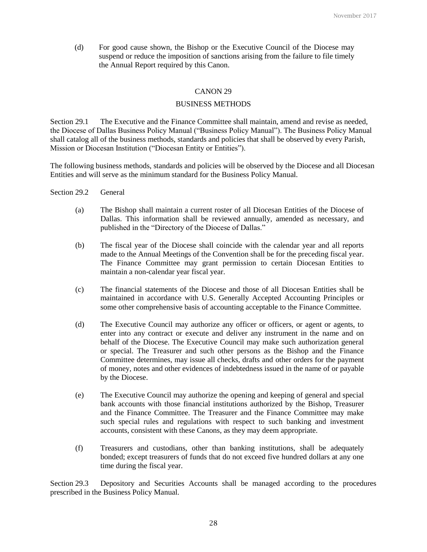(d) For good cause shown, the Bishop or the Executive Council of the Diocese may suspend or reduce the imposition of sanctions arising from the failure to file timely the Annual Report required by this Canon.

#### CANON 29

## BUSINESS METHODS

Section 29.1 The Executive and the Finance Committee shall maintain, amend and revise as needed, the Diocese of Dallas Business Policy Manual ("Business Policy Manual"). The Business Policy Manual shall catalog all of the business methods, standards and policies that shall be observed by every Parish, Mission or Diocesan Institution ("Diocesan Entity or Entities").

The following business methods, standards and policies will be observed by the Diocese and all Diocesan Entities and will serve as the minimum standard for the Business Policy Manual.

- Section 29.2 General
	- (a) The Bishop shall maintain a current roster of all Diocesan Entities of the Diocese of Dallas. This information shall be reviewed annually, amended as necessary, and published in the "Directory of the Diocese of Dallas."
	- (b) The fiscal year of the Diocese shall coincide with the calendar year and all reports made to the Annual Meetings of the Convention shall be for the preceding fiscal year. The Finance Committee may grant permission to certain Diocesan Entities to maintain a non-calendar year fiscal year.
	- (c) The financial statements of the Diocese and those of all Diocesan Entities shall be maintained in accordance with U.S. Generally Accepted Accounting Principles or some other comprehensive basis of accounting acceptable to the Finance Committee.
	- (d) The Executive Council may authorize any officer or officers, or agent or agents, to enter into any contract or execute and deliver any instrument in the name and on behalf of the Diocese. The Executive Council may make such authorization general or special. The Treasurer and such other persons as the Bishop and the Finance Committee determines, may issue all checks, drafts and other orders for the payment of money, notes and other evidences of indebtedness issued in the name of or payable by the Diocese.
	- (e) The Executive Council may authorize the opening and keeping of general and special bank accounts with those financial institutions authorized by the Bishop, Treasurer and the Finance Committee. The Treasurer and the Finance Committee may make such special rules and regulations with respect to such banking and investment accounts, consistent with these Canons, as they may deem appropriate.
	- (f) Treasurers and custodians, other than banking institutions, shall be adequately bonded; except treasurers of funds that do not exceed five hundred dollars at any one time during the fiscal year.

Section 29.3 Depository and Securities Accounts shall be managed according to the procedures prescribed in the Business Policy Manual.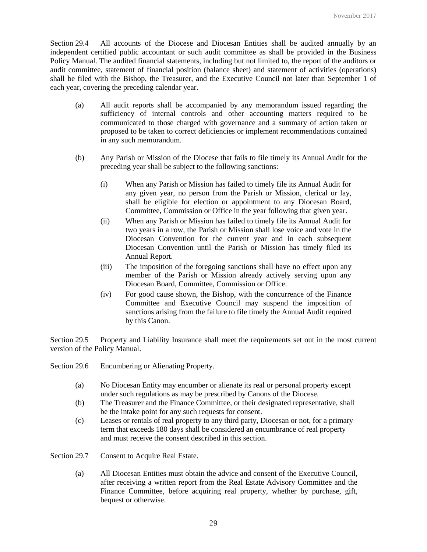Section 29.4 All accounts of the Diocese and Diocesan Entities shall be audited annually by an independent certified public accountant or such audit committee as shall be provided in the Business Policy Manual. The audited financial statements, including but not limited to, the report of the auditors or audit committee, statement of financial position (balance sheet) and statement of activities (operations) shall be filed with the Bishop, the Treasurer, and the Executive Council not later than September 1 of each year, covering the preceding calendar year.

- (a) All audit reports shall be accompanied by any memorandum issued regarding the sufficiency of internal controls and other accounting matters required to be communicated to those charged with governance and a summary of action taken or proposed to be taken to correct deficiencies or implement recommendations contained in any such memorandum.
- (b) Any Parish or Mission of the Diocese that fails to file timely its Annual Audit for the preceding year shall be subject to the following sanctions:
	- (i) When any Parish or Mission has failed to timely file its Annual Audit for any given year, no person from the Parish or Mission, clerical or lay, shall be eligible for election or appointment to any Diocesan Board, Committee, Commission or Office in the year following that given year.
	- (ii) When any Parish or Mission has failed to timely file its Annual Audit for two years in a row, the Parish or Mission shall lose voice and vote in the Diocesan Convention for the current year and in each subsequent Diocesan Convention until the Parish or Mission has timely filed its Annual Report.
	- (iii) The imposition of the foregoing sanctions shall have no effect upon any member of the Parish or Mission already actively serving upon any Diocesan Board, Committee, Commission or Office.
	- (iv) For good cause shown, the Bishop, with the concurrence of the Finance Committee and Executive Council may suspend the imposition of sanctions arising from the failure to file timely the Annual Audit required by this Canon.

Section 29.5 Property and Liability Insurance shall meet the requirements set out in the most current version of the Policy Manual.

- Section 29.6 Encumbering or Alienating Property.
	- (a) No Diocesan Entity may encumber or alienate its real or personal property except under such regulations as may be prescribed by Canons of the Diocese.
	- (b) The Treasurer and the Finance Committee, or their designated representative, shall be the intake point for any such requests for consent.
	- (c) Leases or rentals of real property to any third party, Diocesan or not, for a primary term that exceeds 180 days shall be considered an encumbrance of real property and must receive the consent described in this section.
- Section 29.7 Consent to Acquire Real Estate.
	- (a) All Diocesan Entities must obtain the advice and consent of the Executive Council, after receiving a written report from the Real Estate Advisory Committee and the Finance Committee, before acquiring real property, whether by purchase, gift, bequest or otherwise.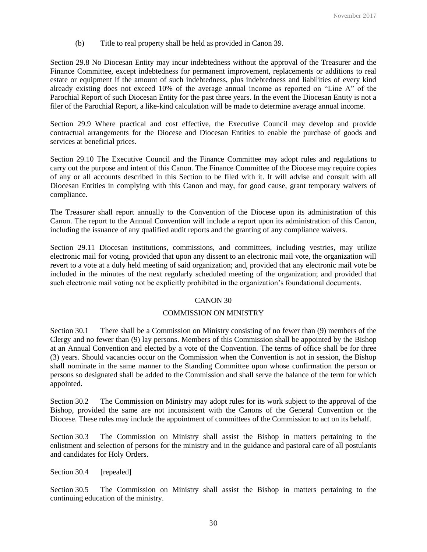(b) Title to real property shall be held as provided in Canon 39.

Section 29.8 No Diocesan Entity may incur indebtedness without the approval of the Treasurer and the Finance Committee, except indebtedness for permanent improvement, replacements or additions to real estate or equipment if the amount of such indebtedness, plus indebtedness and liabilities of every kind already existing does not exceed 10% of the average annual income as reported on "Line A" of the Parochial Report of such Diocesan Entity for the past three years. In the event the Diocesan Entity is not a filer of the Parochial Report, a like-kind calculation will be made to determine average annual income.

Section 29.9 Where practical and cost effective, the Executive Council may develop and provide contractual arrangements for the Diocese and Diocesan Entities to enable the purchase of goods and services at beneficial prices.

Section 29.10 The Executive Council and the Finance Committee may adopt rules and regulations to carry out the purpose and intent of this Canon. The Finance Committee of the Diocese may require copies of any or all accounts described in this Section to be filed with it. It will advise and consult with all Diocesan Entities in complying with this Canon and may, for good cause, grant temporary waivers of compliance.

The Treasurer shall report annually to the Convention of the Diocese upon its administration of this Canon. The report to the Annual Convention will include a report upon its administration of this Canon, including the issuance of any qualified audit reports and the granting of any compliance waivers.

Section 29.11 Diocesan institutions, commissions, and committees, including vestries, may utilize electronic mail for voting, provided that upon any dissent to an electronic mail vote, the organization will revert to a vote at a duly held meeting of said organization; and, provided that any electronic mail vote be included in the minutes of the next regularly scheduled meeting of the organization; and provided that such electronic mail voting not be explicitly prohibited in the organization's foundational documents.

#### CANON 30

#### COMMISSION ON MINISTRY

Section 30.1 There shall be a Commission on Ministry consisting of no fewer than (9) members of the Clergy and no fewer than (9) lay persons. Members of this Commission shall be appointed by the Bishop at an Annual Convention and elected by a vote of the Convention. The terms of office shall be for three (3) years. Should vacancies occur on the Commission when the Convention is not in session, the Bishop shall nominate in the same manner to the Standing Committee upon whose confirmation the person or persons so designated shall be added to the Commission and shall serve the balance of the term for which appointed.

Section 30.2 The Commission on Ministry may adopt rules for its work subject to the approval of the Bishop, provided the same are not inconsistent with the Canons of the General Convention or the Diocese. These rules may include the appointment of committees of the Commission to act on its behalf.

Section 30.3 The Commission on Ministry shall assist the Bishop in matters pertaining to the enlistment and selection of persons for the ministry and in the guidance and pastoral care of all postulants and candidates for Holy Orders.

Section 30.4 [repealed]

Section 30.5 The Commission on Ministry shall assist the Bishop in matters pertaining to the continuing education of the ministry.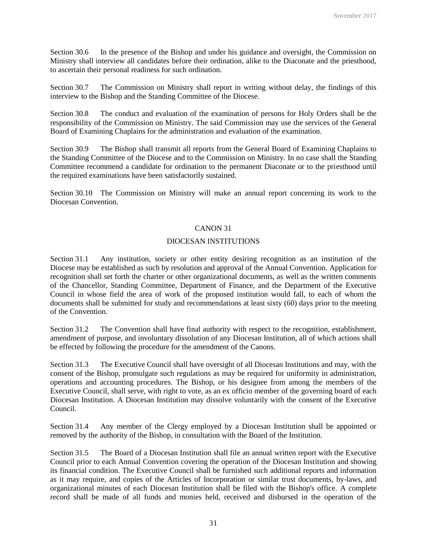Section 30.6 In the presence of the Bishop and under his guidance and oversight, the Commission on Ministry shall interview all candidates before their ordination, alike to the Diaconate and the priesthood, to ascertain their personal readiness for such ordination.

Section 30.7 The Commission on Ministry shall report in writing without delay, the findings of this interview to the Bishop and the Standing Committee of the Diocese.

Section 30.8 The conduct and evaluation of the examination of persons for Holy Orders shall be the responsibility of the Commission on Ministry. The said Commission may use the services of the General Board of Examining Chaplains for the administration and evaluation of the examination.

Section 30.9 The Bishop shall transmit all reports from the General Board of Examining Chaplains to the Standing Committee of the Diocese and to the Commission on Ministry. In no case shall the Standing Committee recommend a candidate for ordination to the permanent Diaconate or to the priesthood until the required examinations have been satisfactorily sustained.

Section 30.10 The Commission on Ministry will make an annual report concerning its work to the Diocesan Convention.

#### CANON 31

## DIOCESAN INSTITUTIONS

Section 31.1 Any institution, society or other entity desiring recognition as an institution of the Diocese may be established as such by resolution and approval of the Annual Convention. Application for recognition shall set forth the charter or other organizational documents, as well as the written comments of the Chancellor, Standing Committee, Department of Finance, and the Department of the Executive Council in whose field the area of work of the proposed institution would fall, to each of whom the documents shall be submitted for study and recommendations at least sixty (60) days prior to the meeting of the Convention.

Section 31.2 The Convention shall have final authority with respect to the recognition, establishment, amendment of purpose, and involuntary dissolution of any Diocesan Institution, all of which actions shall be effected by following the procedure for the amendment of the Canons.

Section 31.3 The Executive Council shall have oversight of all Diocesan Institutions and may, with the consent of the Bishop, promulgate such regulations as may be required for uniformity in administration, operations and accounting procedures. The Bishop, or his designee from among the members of the Executive Council, shall serve, with right to vote, as an ex officio member of the governing board of each Diocesan Institution. A Diocesan Institution may dissolve voluntarily with the consent of the Executive Council.

Section 31.4 Any member of the Clergy employed by a Diocesan Institution shall be appointed or removed by the authority of the Bishop, in consultation with the Board of the Institution.

Section 31.5 The Board of a Diocesan Institution shall file an annual written report with the Executive Council prior to each Annual Convention covering the operation of the Diocesan Institution and showing its financial condition. The Executive Council shall be furnished such additional reports and information as it may require, and copies of the Articles of Incorporation or similar trust documents, by-laws, and organizational minutes of each Diocesan Institution shall be filed with the Bishop's office. A complete record shall be made of all funds and monies held, received and disbursed in the operation of the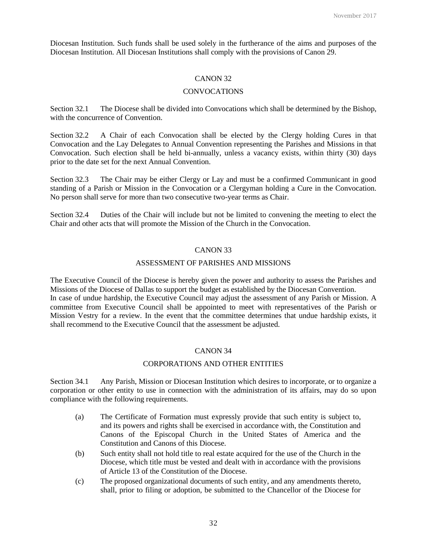Diocesan Institution. Such funds shall be used solely in the furtherance of the aims and purposes of the Diocesan Institution. All Diocesan Institutions shall comply with the provisions of Canon 29.

## CANON 32

## **CONVOCATIONS**

Section 32.1 The Diocese shall be divided into Convocations which shall be determined by the Bishop, with the concurrence of Convention.

Section 32.2 A Chair of each Convocation shall be elected by the Clergy holding Cures in that Convocation and the Lay Delegates to Annual Convention representing the Parishes and Missions in that Convocation. Such election shall be held bi-annually, unless a vacancy exists, within thirty (30) days prior to the date set for the next Annual Convention.

Section 32.3 The Chair may be either Clergy or Lay and must be a confirmed Communicant in good standing of a Parish or Mission in the Convocation or a Clergyman holding a Cure in the Convocation. No person shall serve for more than two consecutive two-year terms as Chair.

Section 32.4 Duties of the Chair will include but not be limited to convening the meeting to elect the Chair and other acts that will promote the Mission of the Church in the Convocation.

#### CANON 33

#### ASSESSMENT OF PARISHES AND MISSIONS

The Executive Council of the Diocese is hereby given the power and authority to assess the Parishes and Missions of the Diocese of Dallas to support the budget as established by the Diocesan Convention. In case of undue hardship, the Executive Council may adjust the assessment of any Parish or Mission. A committee from Executive Council shall be appointed to meet with representatives of the Parish or Mission Vestry for a review. In the event that the committee determines that undue hardship exists, it shall recommend to the Executive Council that the assessment be adjusted.

#### CANON 34

# CORPORATIONS AND OTHER ENTITIES

Section 34.1 Any Parish, Mission or Diocesan Institution which desires to incorporate, or to organize a corporation or other entity to use in connection with the administration of its affairs, may do so upon compliance with the following requirements.

- (a) The Certificate of Formation must expressly provide that such entity is subject to, and its powers and rights shall be exercised in accordance with, the Constitution and Canons of the Episcopal Church in the United States of America and the Constitution and Canons of this Diocese.
- (b) Such entity shall not hold title to real estate acquired for the use of the Church in the Diocese, which title must be vested and dealt with in accordance with the provisions of Article 13 of the Constitution of the Diocese.
- (c) The proposed organizational documents of such entity, and any amendments thereto, shall, prior to filing or adoption, be submitted to the Chancellor of the Diocese for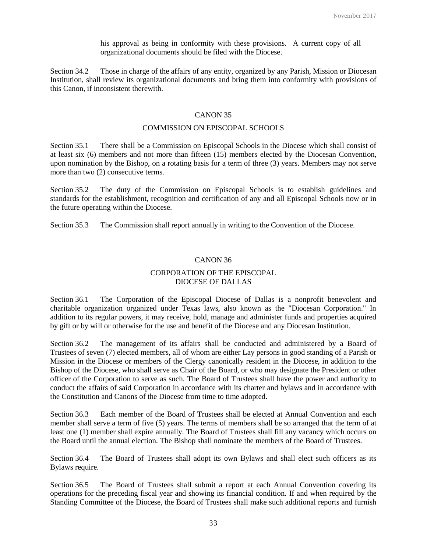his approval as being in conformity with these provisions. A current copy of all organizational documents should be filed with the Diocese.

Section 34.2 Those in charge of the affairs of any entity, organized by any Parish, Mission or Diocesan Institution, shall review its organizational documents and bring them into conformity with provisions of this Canon, if inconsistent therewith.

# CANON 35

# COMMISSION ON EPISCOPAL SCHOOLS

Section 35.1 There shall be a Commission on Episcopal Schools in the Diocese which shall consist of at least six (6) members and not more than fifteen (15) members elected by the Diocesan Convention, upon nomination by the Bishop, on a rotating basis for a term of three (3) years. Members may not serve more than two (2) consecutive terms.

Section 35.2 The duty of the Commission on Episcopal Schools is to establish guidelines and standards for the establishment, recognition and certification of any and all Episcopal Schools now or in the future operating within the Diocese.

Section 35.3 The Commission shall report annually in writing to the Convention of the Diocese.

# CANON 36

# CORPORATION OF THE EPISCOPAL DIOCESE OF DALLAS

Section 36.1 The Corporation of the Episcopal Diocese of Dallas is a nonprofit benevolent and charitable organization organized under Texas laws, also known as the "Diocesan Corporation." In addition to its regular powers, it may receive, hold, manage and administer funds and properties acquired by gift or by will or otherwise for the use and benefit of the Diocese and any Diocesan Institution.

Section 36.2 The management of its affairs shall be conducted and administered by a Board of Trustees of seven (7) elected members, all of whom are either Lay persons in good standing of a Parish or Mission in the Diocese or members of the Clergy canonically resident in the Diocese, in addition to the Bishop of the Diocese, who shall serve as Chair of the Board, or who may designate the President or other officer of the Corporation to serve as such. The Board of Trustees shall have the power and authority to conduct the affairs of said Corporation in accordance with its charter and bylaws and in accordance with the Constitution and Canons of the Diocese from time to time adopted.

Section 36.3 Each member of the Board of Trustees shall be elected at Annual Convention and each member shall serve a term of five (5) years. The terms of members shall be so arranged that the term of at least one (1) member shall expire annually. The Board of Trustees shall fill any vacancy which occurs on the Board until the annual election. The Bishop shall nominate the members of the Board of Trustees.

Section 36.4 The Board of Trustees shall adopt its own Bylaws and shall elect such officers as its Bylaws require.

Section 36.5 The Board of Trustees shall submit a report at each Annual Convention covering its operations for the preceding fiscal year and showing its financial condition. If and when required by the Standing Committee of the Diocese, the Board of Trustees shall make such additional reports and furnish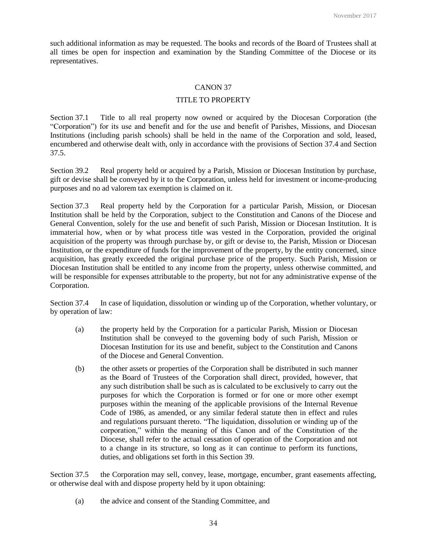such additional information as may be requested. The books and records of the Board of Trustees shall at all times be open for inspection and examination by the Standing Committee of the Diocese or its representatives.

#### CANON 37

## TITLE TO PROPERTY

Section 37.1 Title to all real property now owned or acquired by the Diocesan Corporation (the "Corporation") for its use and benefit and for the use and benefit of Parishes, Missions, and Diocesan Institutions (including parish schools) shall be held in the name of the Corporation and sold, leased, encumbered and otherwise dealt with, only in accordance with the provisions of Section 37.4 and Section 37.5.

Section 39.2 Real property held or acquired by a Parish, Mission or Diocesan Institution by purchase, gift or devise shall be conveyed by it to the Corporation, unless held for investment or income-producing purposes and no ad valorem tax exemption is claimed on it.

Section 37.3 Real property held by the Corporation for a particular Parish, Mission, or Diocesan Institution shall be held by the Corporation, subject to the Constitution and Canons of the Diocese and General Convention, solely for the use and benefit of such Parish, Mission or Diocesan Institution. It is immaterial how, when or by what process title was vested in the Corporation, provided the original acquisition of the property was through purchase by, or gift or devise to, the Parish, Mission or Diocesan Institution, or the expenditure of funds for the improvement of the property, by the entity concerned, since acquisition, has greatly exceeded the original purchase price of the property. Such Parish, Mission or Diocesan Institution shall be entitled to any income from the property, unless otherwise committed, and will be responsible for expenses attributable to the property, but not for any administrative expense of the Corporation.

Section 37.4 In case of liquidation, dissolution or winding up of the Corporation, whether voluntary, or by operation of law:

- (a) the property held by the Corporation for a particular Parish, Mission or Diocesan Institution shall be conveyed to the governing body of such Parish, Mission or Diocesan Institution for its use and benefit, subject to the Constitution and Canons of the Diocese and General Convention.
- (b) the other assets or properties of the Corporation shall be distributed in such manner as the Board of Trustees of the Corporation shall direct, provided, however, that any such distribution shall be such as is calculated to be exclusively to carry out the purposes for which the Corporation is formed or for one or more other exempt purposes within the meaning of the applicable provisions of the Internal Revenue Code of 1986, as amended, or any similar federal statute then in effect and rules and regulations pursuant thereto. "The liquidation, dissolution or winding up of the corporation," within the meaning of this Canon and of the Constitution of the Diocese, shall refer to the actual cessation of operation of the Corporation and not to a change in its structure, so long as it can continue to perform its functions, duties, and obligations set forth in this Section 39.

Section 37.5 the Corporation may sell, convey, lease, mortgage, encumber, grant easements affecting, or otherwise deal with and dispose property held by it upon obtaining:

(a) the advice and consent of the Standing Committee, and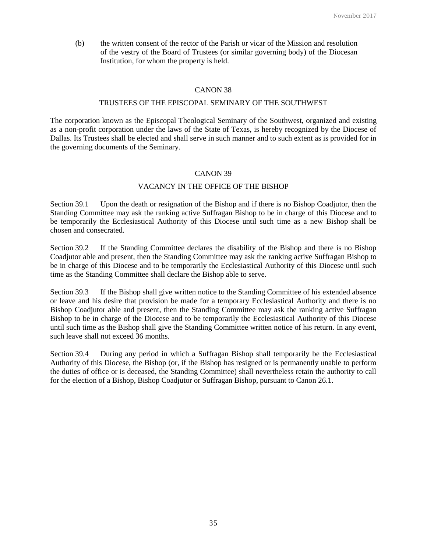(b) the written consent of the rector of the Parish or vicar of the Mission and resolution of the vestry of the Board of Trustees (or similar governing body) of the Diocesan Institution, for whom the property is held.

#### CANON 38

## TRUSTEES OF THE EPISCOPAL SEMINARY OF THE SOUTHWEST

The corporation known as the Episcopal Theological Seminary of the Southwest, organized and existing as a non-profit corporation under the laws of the State of Texas, is hereby recognized by the Diocese of Dallas. Its Trustees shall be elected and shall serve in such manner and to such extent as is provided for in the governing documents of the Seminary.

# CANON 39

# VACANCY IN THE OFFICE OF THE BISHOP

Section 39.1 Upon the death or resignation of the Bishop and if there is no Bishop Coadjutor, then the Standing Committee may ask the ranking active Suffragan Bishop to be in charge of this Diocese and to be temporarily the Ecclesiastical Authority of this Diocese until such time as a new Bishop shall be chosen and consecrated.

Section 39.2 If the Standing Committee declares the disability of the Bishop and there is no Bishop Coadjutor able and present, then the Standing Committee may ask the ranking active Suffragan Bishop to be in charge of this Diocese and to be temporarily the Ecclesiastical Authority of this Diocese until such time as the Standing Committee shall declare the Bishop able to serve.

Section 39.3 If the Bishop shall give written notice to the Standing Committee of his extended absence or leave and his desire that provision be made for a temporary Ecclesiastical Authority and there is no Bishop Coadjutor able and present, then the Standing Committee may ask the ranking active Suffragan Bishop to be in charge of the Diocese and to be temporarily the Ecclesiastical Authority of this Diocese until such time as the Bishop shall give the Standing Committee written notice of his return. In any event, such leave shall not exceed 36 months.

Section 39.4 During any period in which a Suffragan Bishop shall temporarily be the Ecclesiastical Authority of this Diocese, the Bishop (or, if the Bishop has resigned or is permanently unable to perform the duties of office or is deceased, the Standing Committee) shall nevertheless retain the authority to call for the election of a Bishop, Bishop Coadjutor or Suffragan Bishop, pursuant to Canon 26.1.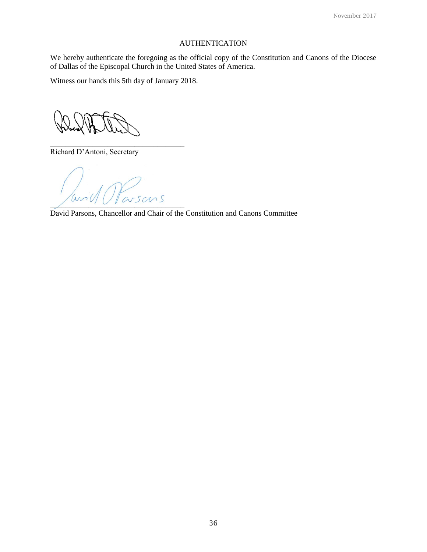# AUTHENTICATION

We hereby authenticate the foregoing as the official copy of the Constitution and Canons of the Diocese of Dallas of the Episcopal Church in the United States of America.

Witness our hands this 5th day of January 2018.

Richard D'Antoni, Secretary

 $\overline{\phantom{a}}$ 

\_\_\_\_\_\_\_\_\_\_\_\_\_\_\_\_\_\_\_\_\_\_\_\_\_\_\_\_\_\_\_\_\_\_\_

David Parsons, Chancellor and Chair of the Constitution and Canons Committee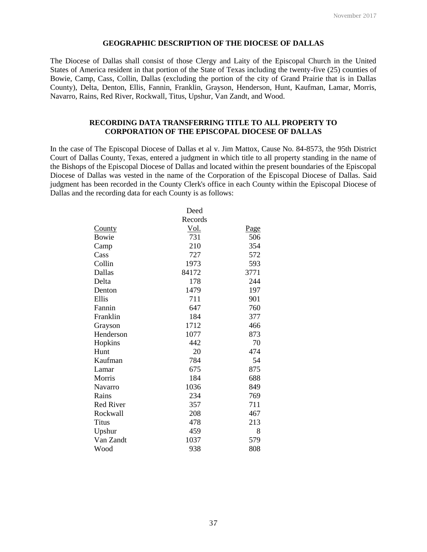## **GEOGRAPHIC DESCRIPTION OF THE DIOCESE OF DALLAS**

The Diocese of Dallas shall consist of those Clergy and Laity of the Episcopal Church in the United States of America resident in that portion of the State of Texas including the twenty-five (25) counties of Bowie, Camp, Cass, Collin, Dallas (excluding the portion of the city of Grand Prairie that is in Dallas County), Delta, Denton, Ellis, Fannin, Franklin, Grayson, Henderson, Hunt, Kaufman, Lamar, Morris, Navarro, Rains, Red River, Rockwall, Titus, Upshur, Van Zandt, and Wood.

# **RECORDING DATA TRANSFERRING TITLE TO ALL PROPERTY TO CORPORATION OF THE EPISCOPAL DIOCESE OF DALLAS**

In the case of The Episcopal Diocese of Dallas et al v. Jim Mattox, Cause No. 84-8573, the 95th District Court of Dallas County, Texas, entered a judgment in which title to all property standing in the name of the Bishops of the Episcopal Diocese of Dallas and located within the present boundaries of the Episcopal Diocese of Dallas was vested in the name of the Corporation of the Episcopal Diocese of Dallas. Said judgment has been recorded in the County Clerk's office in each County within the Episcopal Diocese of Dallas and the recording data for each County is as follows:

|                  | Deed        |             |
|------------------|-------------|-------------|
|                  | Records     |             |
| <u>County</u>    | <u>Vol.</u> | <b>Page</b> |
| Bowie            | 731         | 506         |
| Camp             | 210         | 354         |
| Cass             | 727         | 572         |
| Collin           | 1973        | 593         |
| Dallas           | 84172       | 3771        |
| Delta            | 178         | 244         |
| Denton           | 1479        | 197         |
| Ellis            | 711         | 901         |
| Fannin           | 647         | 760         |
| Franklin         | 184         | 377         |
| Grayson          | 1712        | 466         |
| Henderson        | 1077        | 873         |
| Hopkins          | 442         | 70          |
| Hunt             | 20          | 474         |
| Kaufman          | 784         | 54          |
| Lamar            | 675         | 875         |
| Morris           | 184         | 688         |
| Navarro          | 1036        | 849         |
| Rains            | 234         | 769         |
| <b>Red River</b> | 357         | 711         |
| Rockwall         | 208         | 467         |
| <b>Titus</b>     | 478         | 213         |
| Upshur           | 459         | 8           |
| Van Zandt        | 1037        | 579         |
| Wood             | 938         | 808         |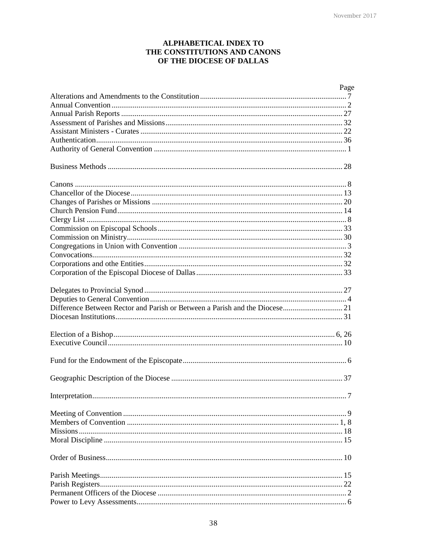# **ALPHABETICAL INDEX TO** THE CONSTITUTIONS AND CANONS OF THE DIOCESE OF DALLAS

| Page   |
|--------|
|        |
|        |
|        |
|        |
|        |
|        |
|        |
|        |
|        |
|        |
|        |
|        |
|        |
|        |
|        |
|        |
|        |
|        |
|        |
|        |
|        |
|        |
|        |
|        |
|        |
|        |
|        |
|        |
| $\tau$ |
|        |
|        |
|        |
|        |
|        |
|        |
|        |
|        |
|        |